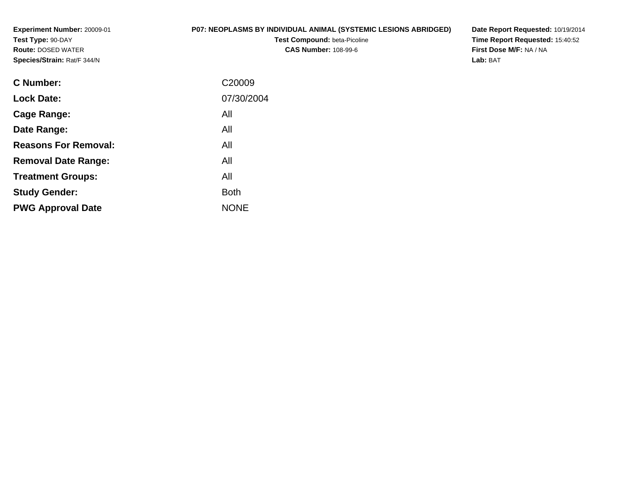**Experiment Number:** 20009-01**Test Type:** 90-DAY **Route:** DOSED WATER**Species/Strain:** Rat/F 344/N

# **P07: NEOPLASMS BY INDIVIDUAL ANIMAL (SYSTEMIC LESIONS ABRIDGED)**

**Test Compound:** beta-Picoline**CAS Number:** 108-99-6

**Date Report Requested:** 10/19/2014 **Time Report Requested:** 15:40:52**First Dose M/F:** NA / NA**Lab:** BAT

| C <sub>20009</sub> |
|--------------------|
| 07/30/2004         |
| All                |
| All                |
| All                |
| All                |
| All                |
| <b>Both</b>        |
| <b>NONE</b>        |
|                    |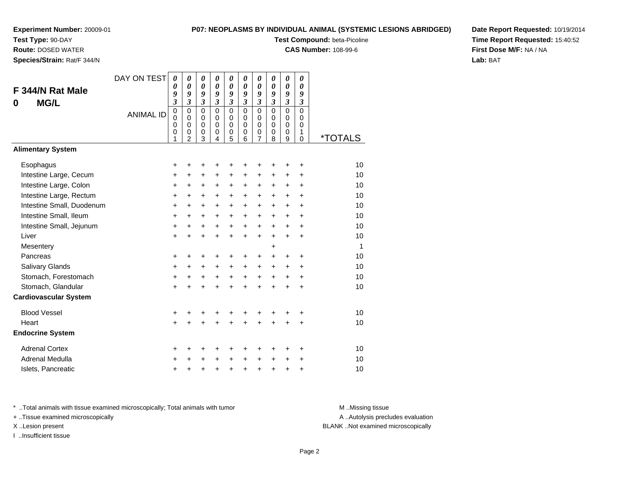**Test Type:** 90-DAY

**Route:** DOSED WATER

**Species/Strain:** Rat/F 344/N

# **P07: NEOPLASMS BY INDIVIDUAL ANIMAL (SYSTEMIC LESIONS ABRIDGED)**

**Test Compound:** beta-Picoline

**CAS Number:** 108-99-6

**Date Report Requested:** 10/19/2014**Time Report Requested:** 15:40:52**First Dose M/F:** NA / NA**Lab:** BAT

| F 344/N Rat Male<br><b>MG/L</b><br>0 | DAY ON TEST<br><b>ANIMAL ID</b> | $\boldsymbol{\theta}$<br>$\boldsymbol{\theta}$<br>9<br>$\mathfrak{z}$<br>$\mathbf 0$<br>$\mathbf 0$<br>$\mathbf 0$<br>0<br>1 | 0<br>0<br>9<br>$\mathfrak{z}$<br>$\mathbf 0$<br>$\Omega$<br>$\mathbf 0$<br>$\mathbf 0$<br>$\overline{2}$ | 0<br>0<br>9<br>$\boldsymbol{\beta}$<br>$\Omega$<br>$\mathbf 0$<br>$\mathbf 0$<br>0<br>3 | 0<br>0<br>9<br>$\mathfrak{z}$<br>$\mathbf 0$<br>$\Omega$<br>$\mathbf 0$<br>0<br>4 | 0<br>0<br>9<br>$\boldsymbol{\beta}$<br>$\mathbf 0$<br>0<br>0<br>$\pmb{0}$<br>5 | 0<br>0<br>9<br>3<br>0<br>$\Omega$<br>$\mathbf 0$<br>0<br>6 | 0<br>0<br>9<br>3<br>$\mathbf 0$<br>0<br>0<br>0<br>7 | $\boldsymbol{\theta}$<br>$\boldsymbol{\theta}$<br>9<br>$\boldsymbol{\beta}$<br>$\mathbf 0$<br>$\Omega$<br>$\mathbf 0$<br>0<br>8 | 0<br>0<br>9<br>$\overline{\mathbf{3}}$<br>$\mathbf 0$<br>$\mathbf 0$<br>$\mathbf 0$<br>$\mathbf 0$<br>9 | 0<br>$\boldsymbol{\theta}$<br>9<br>$\boldsymbol{\beta}$<br>$\mathbf 0$<br>0<br>$\mathbf 0$<br>1<br>$\mathbf 0$ | *TOTALS |
|--------------------------------------|---------------------------------|------------------------------------------------------------------------------------------------------------------------------|----------------------------------------------------------------------------------------------------------|-----------------------------------------------------------------------------------------|-----------------------------------------------------------------------------------|--------------------------------------------------------------------------------|------------------------------------------------------------|-----------------------------------------------------|---------------------------------------------------------------------------------------------------------------------------------|---------------------------------------------------------------------------------------------------------|----------------------------------------------------------------------------------------------------------------|---------|
| <b>Alimentary System</b>             |                                 |                                                                                                                              |                                                                                                          |                                                                                         |                                                                                   |                                                                                |                                                            |                                                     |                                                                                                                                 |                                                                                                         |                                                                                                                |         |
| Esophagus                            |                                 | +                                                                                                                            | +                                                                                                        | +                                                                                       | +                                                                                 | +                                                                              | +                                                          | +                                                   | ٠                                                                                                                               | +                                                                                                       | +                                                                                                              | 10      |
| Intestine Large, Cecum               |                                 | +                                                                                                                            | +                                                                                                        | +                                                                                       | +                                                                                 | +                                                                              | +                                                          | $\ddot{}$                                           | $\ddot{}$                                                                                                                       | $\ddot{}$                                                                                               | +                                                                                                              | 10      |
| Intestine Large, Colon               |                                 | $\ddot{}$                                                                                                                    | +                                                                                                        | +                                                                                       | +                                                                                 | +                                                                              | +                                                          | +                                                   | $\ddot{}$                                                                                                                       | $\ddot{}$                                                                                               | +                                                                                                              | 10      |
| Intestine Large, Rectum              |                                 | $\ddot{}$                                                                                                                    | $\ddot{}$                                                                                                | $\ddot{}$                                                                               | $\ddot{}$                                                                         | $+$                                                                            | $\ddot{}$                                                  | +                                                   | $+$                                                                                                                             | $+$                                                                                                     | $\ddot{}$                                                                                                      | 10      |
| Intestine Small, Duodenum            |                                 | $\ddot{}$                                                                                                                    | $\ddot{}$                                                                                                | $\ddot{}$                                                                               | $\ddot{}$                                                                         | $\ddot{}$                                                                      | +                                                          | +                                                   | $\ddot{}$                                                                                                                       | $\ddot{}$                                                                                               | $\ddot{}$                                                                                                      | 10      |
| Intestine Small, Ileum               |                                 | $\ddot{}$                                                                                                                    | $\ddot{}$                                                                                                | $\ddot{}$                                                                               | $\ddot{}$                                                                         | $\ddot{}$                                                                      | $\ddot{}$                                                  | +                                                   | $\ddot{}$                                                                                                                       | $\ddot{}$                                                                                               | $\ddot{}$                                                                                                      | 10      |
| Intestine Small, Jejunum             |                                 | +                                                                                                                            | +                                                                                                        | $\ddot{}$                                                                               | $\ddot{}$                                                                         | $+$                                                                            | $\ddot{}$                                                  | $\ddot{}$                                           | $\ddot{}$                                                                                                                       | $+$                                                                                                     | $\ddot{}$                                                                                                      | 10      |
| Liver                                |                                 | $\ddot{}$                                                                                                                    | $\ddot{}$                                                                                                | $\ddot{}$                                                                               | $\ddot{}$                                                                         | $\ddot{}$                                                                      | $\ddot{}$                                                  | $\ddot{}$                                           | $\ddot{}$                                                                                                                       | $\ddot{}$                                                                                               | +                                                                                                              | 10      |
| Mesentery                            |                                 |                                                                                                                              |                                                                                                          |                                                                                         |                                                                                   |                                                                                |                                                            |                                                     | +                                                                                                                               |                                                                                                         |                                                                                                                | 1       |
| Pancreas                             |                                 | $\ddot{}$                                                                                                                    | +                                                                                                        | +                                                                                       | +                                                                                 | +                                                                              | +                                                          | +                                                   | $\ddot{}$                                                                                                                       | +                                                                                                       | +                                                                                                              | 10      |
| <b>Salivary Glands</b>               |                                 | $\ddot{}$                                                                                                                    | $\ddot{}$                                                                                                | $\ddot{}$                                                                               | $\ddot{}$                                                                         | $\ddot{}$                                                                      | +                                                          | $\ddot{}$                                           | $\ddot{}$                                                                                                                       | $\ddot{}$                                                                                               | $\ddot{}$                                                                                                      | 10      |
| Stomach, Forestomach                 |                                 | +                                                                                                                            | $\ddot{}$                                                                                                | $\ddot{}$                                                                               | $\ddot{}$                                                                         | $+$                                                                            | $+$                                                        | $\ddot{}$                                           | $\ddot{}$                                                                                                                       | $\ddot{}$                                                                                               | +                                                                                                              | 10      |
| Stomach, Glandular                   |                                 | $\ddot{}$                                                                                                                    |                                                                                                          | $\ddot{}$                                                                               | $\ddot{}$                                                                         | $\ddot{}$                                                                      | $\ddot{}$                                                  | $\ddot{}$                                           | $\ddot{}$                                                                                                                       | $\ddot{}$                                                                                               | $\ddot{}$                                                                                                      | 10      |
| <b>Cardiovascular System</b>         |                                 |                                                                                                                              |                                                                                                          |                                                                                         |                                                                                   |                                                                                |                                                            |                                                     |                                                                                                                                 |                                                                                                         |                                                                                                                |         |
| <b>Blood Vessel</b>                  |                                 | +                                                                                                                            | +                                                                                                        | +                                                                                       | +                                                                                 | +                                                                              | +                                                          | +                                                   | +                                                                                                                               |                                                                                                         | +                                                                                                              | 10      |
| Heart                                |                                 | $\ddot{}$                                                                                                                    |                                                                                                          | $\ddot{}$                                                                               | $\ddot{}$                                                                         | $\ddot{}$                                                                      | $\ddot{}$                                                  | $\ddot{}$                                           | $\ddot{}$                                                                                                                       | $\ddot{}$                                                                                               | $\pm$                                                                                                          | 10      |
| <b>Endocrine System</b>              |                                 |                                                                                                                              |                                                                                                          |                                                                                         |                                                                                   |                                                                                |                                                            |                                                     |                                                                                                                                 |                                                                                                         |                                                                                                                |         |
| <b>Adrenal Cortex</b>                |                                 | +                                                                                                                            | +                                                                                                        | +                                                                                       | +                                                                                 | +                                                                              | +                                                          | +                                                   | ٠                                                                                                                               | ٠                                                                                                       | +                                                                                                              | 10      |
| Adrenal Medulla                      |                                 | $\ddot{}$                                                                                                                    |                                                                                                          | +                                                                                       | $\ddot{}$                                                                         | $\ddot{}$                                                                      | $\ddot{}$                                                  | $\ddot{}$                                           | $\ddot{}$                                                                                                                       | $\ddot{}$                                                                                               | +                                                                                                              | 10      |
| Islets, Pancreatic                   |                                 | +                                                                                                                            | +                                                                                                        | +                                                                                       | +                                                                                 | $\pmb{+}$                                                                      | +                                                          | +                                                   | +                                                                                                                               | +                                                                                                       | +                                                                                                              | 10      |

\* ..Total animals with tissue examined microscopically; Total animals with tumor **M** . Missing tissue M ..Missing tissue

+ ..Tissue examined microscopically

I ..Insufficient tissue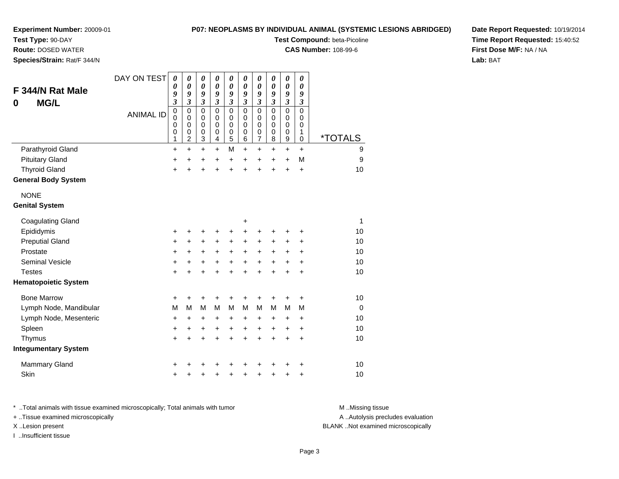**Test Type:** 90-DAY

**Route:** DOSED WATER

**Species/Strain:** Rat/F 344/N

## **P07: NEOPLASMS BY INDIVIDUAL ANIMAL (SYSTEMIC LESIONS ABRIDGED)**

**Test Compound:** beta-Picoline

**CAS Number:** 108-99-6

**Date Report Requested:** 10/19/2014**Time Report Requested:** 15:40:52**First Dose M/F:** NA / NA**Lab:** BAT

| F 344/N Rat Male<br><b>MG/L</b><br>0 | DAY ON TEST      | 0<br>0<br>9<br>$\overline{\mathbf{3}}$    | 0<br>$\boldsymbol{\theta}$<br>9<br>$\overline{\mathbf{3}}$ | 0<br>$\boldsymbol{\theta}$<br>9<br>$\mathfrak{z}$   | 0<br>$\boldsymbol{\theta}$<br>9<br>$\mathfrak{z}$ | 0<br>$\boldsymbol{\theta}$<br>9<br>$\overline{\mathbf{3}}$ | 0<br>$\boldsymbol{\theta}$<br>9<br>$\mathfrak{z}$ | $\boldsymbol{\theta}$<br>$\boldsymbol{\theta}$<br>9<br>$\overline{\mathbf{3}}$ | 0<br>$\boldsymbol{\theta}$<br>9<br>$\mathfrak{z}$ | $\boldsymbol{\theta}$<br>$\pmb{\theta}$<br>9<br>$\mathfrak{z}$           | 0<br>$\boldsymbol{\theta}$<br>9<br>$\mathfrak{z}$   |                       |
|--------------------------------------|------------------|-------------------------------------------|------------------------------------------------------------|-----------------------------------------------------|---------------------------------------------------|------------------------------------------------------------|---------------------------------------------------|--------------------------------------------------------------------------------|---------------------------------------------------|--------------------------------------------------------------------------|-----------------------------------------------------|-----------------------|
|                                      | <b>ANIMAL ID</b> | $\mathbf 0$<br>0<br>0<br>$\mathbf 0$<br>1 | $\mathbf 0$<br>0<br>0<br>$\mathbf 0$<br>$\overline{c}$     | $\mathbf 0$<br>0<br>$\mathbf 0$<br>$\mathbf 0$<br>3 | $\mathbf 0$<br>0<br>0<br>0<br>4                   | $\mathbf 0$<br>0<br>0<br>$\mathbf 0$<br>5                  | $\pmb{0}$<br>0<br>0<br>$\pmb{0}$<br>6             | $\pmb{0}$<br>0<br>0<br>$\pmb{0}$<br>$\overline{7}$                             | $\pmb{0}$<br>0<br>$\mathbf 0$<br>$\mathbf 0$<br>8 | $\pmb{0}$<br>$\mathbf 0$<br>$\mathbf 0$<br>$\pmb{0}$<br>$\boldsymbol{9}$ | $\mathbf 0$<br>0<br>$\mathbf 0$<br>1<br>$\mathbf 0$ | <i><b>*TOTALS</b></i> |
| Parathyroid Gland                    |                  | +                                         | $\ddot{}$                                                  | $\ddot{}$                                           | +                                                 | M                                                          | $\ddot{}$                                         | $\ddot{}$                                                                      | $\ddot{}$                                         | $\ddot{}$                                                                | $\ddot{}$                                           | 9                     |
| <b>Pituitary Gland</b>               |                  | +                                         | +                                                          | +                                                   | $\ddot{}$                                         | +                                                          | +                                                 | +                                                                              | $\ddot{}$                                         | $\ddot{}$                                                                | M                                                   | $\boldsymbol{9}$      |
| <b>Thyroid Gland</b>                 |                  | $\ddot{}$                                 | ÷                                                          | $\ddot{}$                                           | $\ddot{}$                                         | $\ddot{}$                                                  | $\ddot{}$                                         | $\ddot{}$                                                                      | $\ddot{}$                                         | $\ddot{}$                                                                | $\ddot{}$                                           | 10                    |
| <b>General Body System</b>           |                  |                                           |                                                            |                                                     |                                                   |                                                            |                                                   |                                                                                |                                                   |                                                                          |                                                     |                       |
| <b>NONE</b>                          |                  |                                           |                                                            |                                                     |                                                   |                                                            |                                                   |                                                                                |                                                   |                                                                          |                                                     |                       |
| <b>Genital System</b>                |                  |                                           |                                                            |                                                     |                                                   |                                                            |                                                   |                                                                                |                                                   |                                                                          |                                                     |                       |
| <b>Coagulating Gland</b>             |                  |                                           |                                                            |                                                     |                                                   |                                                            | +                                                 |                                                                                |                                                   |                                                                          |                                                     | $\mathbf{1}$          |
| Epididymis                           |                  | +                                         | +                                                          | +                                                   | +                                                 | +                                                          | $\ddot{}$                                         | +                                                                              | +                                                 | +                                                                        | +                                                   | 10                    |
| <b>Preputial Gland</b>               |                  | +                                         | $\ddot{}$                                                  | +                                                   | +                                                 | +                                                          | $\ddot{}$                                         | +                                                                              | +                                                 | $\ddot{}$                                                                | $\ddot{}$                                           | 10                    |
| Prostate                             |                  | +                                         | +                                                          | +                                                   | +                                                 | +                                                          | +                                                 | $\ddot{}$                                                                      | +                                                 | $\ddot{}$                                                                | +                                                   | 10                    |
| <b>Seminal Vesicle</b>               |                  | $\ddot{}$                                 | $\ddot{}$                                                  | $\ddot{}$                                           | +                                                 | $\ddot{}$                                                  | $\ddot{}$                                         | $\ddot{}$                                                                      | $\ddot{}$                                         | $\ddot{}$                                                                | $\ddot{}$                                           | 10                    |
| <b>Testes</b>                        |                  | +                                         | $\ddot{}$                                                  | $\ddot{}$                                           | $\ddot{}$                                         | $\ddot{}$                                                  | $\ddot{}$                                         | $\ddot{}$                                                                      | $\ddot{}$                                         | $\ddot{}$                                                                | $\ddot{}$                                           | 10                    |
| <b>Hematopoietic System</b>          |                  |                                           |                                                            |                                                     |                                                   |                                                            |                                                   |                                                                                |                                                   |                                                                          |                                                     |                       |
| <b>Bone Marrow</b>                   |                  | +                                         | +                                                          | +                                                   | +                                                 | +                                                          | +                                                 | +                                                                              | +                                                 | +                                                                        | $\ddot{}$                                           | 10                    |
| Lymph Node, Mandibular               |                  | M                                         | M                                                          | M                                                   | M                                                 | M                                                          | M                                                 | M                                                                              | M                                                 | M                                                                        | M                                                   | $\mathbf 0$           |
| Lymph Node, Mesenteric               |                  | +                                         | +                                                          | $\ddot{}$                                           | +                                                 | $\ddot{}$                                                  | +                                                 | +                                                                              | +                                                 | $\ddot{}$                                                                | $\ddot{}$                                           | 10                    |
| Spleen                               |                  | +                                         | $\ddot{}$                                                  | $\ddot{}$                                           | +                                                 | $\ddot{}$                                                  | $\ddot{}$                                         | $\ddot{}$                                                                      | $\ddot{}$                                         | $\ddot{}$                                                                | $\ddot{}$                                           | 10                    |
| Thymus                               |                  | +                                         | $\ddot{}$                                                  | $\ddot{}$                                           | $\ddot{}$                                         | $\ddot{}$                                                  | $\ddot{}$                                         | $\ddot{}$                                                                      | $\ddot{}$                                         | $\ddot{}$                                                                | +                                                   | 10                    |
| <b>Integumentary System</b>          |                  |                                           |                                                            |                                                     |                                                   |                                                            |                                                   |                                                                                |                                                   |                                                                          |                                                     |                       |
| <b>Mammary Gland</b>                 |                  | +                                         |                                                            |                                                     |                                                   |                                                            |                                                   | +                                                                              |                                                   | +                                                                        | +                                                   | 10                    |
| Skin                                 |                  | +                                         |                                                            | +                                                   | +                                                 | +                                                          | +                                                 | +                                                                              | +                                                 | +                                                                        | +                                                   | 10                    |

\* ..Total animals with tissue examined microscopically; Total animals with tumor **M** . Missing tissue M ..Missing tissue A ..Autolysis precludes evaluation + ..Tissue examined microscopically X ..Lesion present BLANK ..Not examined microscopicallyI ..Insufficient tissue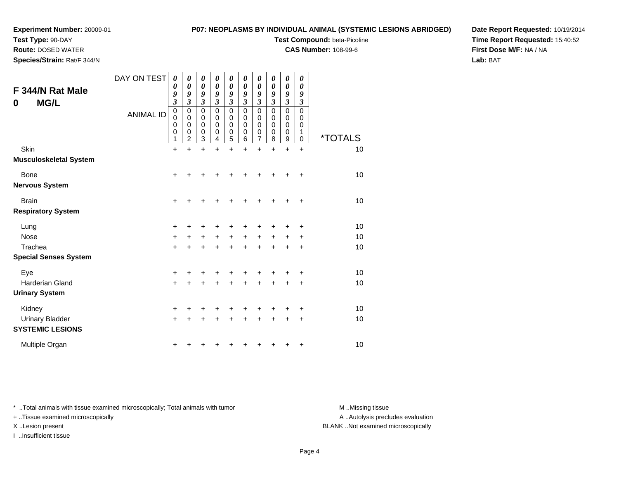**Test Type:** 90-DAY

**Route:** DOSED WATER

**Species/Strain:** Rat/F 344/N

## **P07: NEOPLASMS BY INDIVIDUAL ANIMAL (SYSTEMIC LESIONS ABRIDGED)**

**Test Compound:** beta-Picoline

**CAS Number:** 108-99-6

**Date Report Requested:** 10/19/2014**Time Report Requested:** 15:40:52**First Dose M/F:** NA / NA**Lab:** BAT

| F 344/N Rat Male<br><b>MG/L</b><br>0              | DAY ON TEST<br><b>ANIMAL ID</b> | 0<br>0<br>9<br>$\mathfrak{z}$<br>$\mathbf 0$<br>$\mathbf 0$<br>$\mathbf 0$<br>$\mathbf 0$<br>1 | 0<br>0<br>9<br>3<br>$\mathbf 0$<br>0<br>0<br>0<br>$\overline{2}$ | 0<br>$\boldsymbol{\theta}$<br>9<br>3<br>$\mathbf 0$<br>0<br>$\mathbf 0$<br>0<br>3 | 0<br>$\boldsymbol{\theta}$<br>9<br>3<br>$\Omega$<br>0<br>0<br>0<br>4 | 0<br>$\boldsymbol{\theta}$<br>9<br>3<br>$\mathbf 0$<br>0<br>0<br>$\pmb{0}$<br>5 | 0<br>0<br>9<br>3<br>$\mathbf 0$<br>0<br>0<br>0<br>6 | 0<br>$\boldsymbol{\theta}$<br>9<br>3<br>0<br>0<br>0<br>0<br>7 | 0<br>0<br>9<br>3<br>$\Omega$<br>0<br>0<br>0<br>8 | 0<br>0<br>9<br>$\mathfrak{z}$<br>$\mathbf 0$<br>0<br>0<br>0<br>9 | 0<br>0<br>9<br>3<br>0<br>0<br>0<br>1<br>0 | <i><b>*TOTALS</b></i> |
|---------------------------------------------------|---------------------------------|------------------------------------------------------------------------------------------------|------------------------------------------------------------------|-----------------------------------------------------------------------------------|----------------------------------------------------------------------|---------------------------------------------------------------------------------|-----------------------------------------------------|---------------------------------------------------------------|--------------------------------------------------|------------------------------------------------------------------|-------------------------------------------|-----------------------|
| Skin                                              |                                 | $\ddot{}$                                                                                      | $\ddot{}$                                                        | $\ddot{}$                                                                         | $\ddot{}$                                                            | $\ddot{}$                                                                       | $\ddot{}$                                           | $\ddot{}$                                                     | $\ddot{}$                                        | $\ddot{}$                                                        | $\ddot{}$                                 | 10                    |
| <b>Musculoskeletal System</b>                     |                                 |                                                                                                |                                                                  |                                                                                   |                                                                      |                                                                                 |                                                     |                                                               |                                                  |                                                                  |                                           |                       |
| Bone                                              |                                 | +                                                                                              |                                                                  |                                                                                   |                                                                      |                                                                                 |                                                     |                                                               |                                                  |                                                                  | ٠                                         | 10                    |
| <b>Nervous System</b>                             |                                 |                                                                                                |                                                                  |                                                                                   |                                                                      |                                                                                 |                                                     |                                                               |                                                  |                                                                  |                                           |                       |
| <b>Brain</b>                                      |                                 | $\ddot{}$                                                                                      | +                                                                | +                                                                                 |                                                                      |                                                                                 |                                                     | +                                                             |                                                  |                                                                  | ÷                                         | 10                    |
| <b>Respiratory System</b>                         |                                 |                                                                                                |                                                                  |                                                                                   |                                                                      |                                                                                 |                                                     |                                                               |                                                  |                                                                  |                                           |                       |
| Lung                                              |                                 | +                                                                                              | +                                                                | +                                                                                 |                                                                      |                                                                                 |                                                     |                                                               |                                                  |                                                                  | +                                         | 10                    |
| Nose                                              |                                 | $\ddot{}$                                                                                      | $\ddot{}$                                                        | +                                                                                 | $\ddot{}$                                                            | +                                                                               | $\ddot{}$                                           | +                                                             | $\ddot{}$                                        | +                                                                | ٠                                         | 10                    |
| Trachea                                           |                                 | $\ddot{}$                                                                                      | $\ddot{}$                                                        | $\ddot{}$                                                                         | $\ddot{}$                                                            | $\ddot{}$                                                                       | ÷                                                   | $\ddot{}$                                                     |                                                  | +                                                                | +                                         | 10                    |
| <b>Special Senses System</b>                      |                                 |                                                                                                |                                                                  |                                                                                   |                                                                      |                                                                                 |                                                     |                                                               |                                                  |                                                                  |                                           |                       |
| Eye                                               |                                 | $\ddot{}$                                                                                      |                                                                  | ٠                                                                                 |                                                                      |                                                                                 |                                                     |                                                               |                                                  |                                                                  | +                                         | 10                    |
| Harderian Gland                                   |                                 | $\ddot{}$                                                                                      | $\ddot{}$                                                        | $\ddot{}$                                                                         | +                                                                    | +                                                                               | +                                                   | $\ddot{}$                                                     | $\ddot{}$                                        | +                                                                | +                                         | 10                    |
| <b>Urinary System</b>                             |                                 |                                                                                                |                                                                  |                                                                                   |                                                                      |                                                                                 |                                                     |                                                               |                                                  |                                                                  |                                           |                       |
| Kidney                                            |                                 | +                                                                                              | +                                                                | +                                                                                 | +                                                                    | +                                                                               |                                                     | +                                                             |                                                  |                                                                  | +                                         | 10                    |
| <b>Urinary Bladder</b><br><b>SYSTEMIC LESIONS</b> |                                 | $\ddot{}$                                                                                      | +                                                                | +                                                                                 | +                                                                    | +                                                                               | +                                                   | +                                                             | ٠                                                | +                                                                | $\ddot{}$                                 | 10                    |
| Multiple Organ                                    |                                 | +                                                                                              |                                                                  |                                                                                   |                                                                      |                                                                                 |                                                     |                                                               |                                                  | ٠                                                                | +                                         | 10                    |

\* ..Total animals with tissue examined microscopically; Total animals with tumor **M** . Missing tissue M ..Missing tissue

+ ..Tissue examined microscopically

I ..Insufficient tissue

A ..Autolysis precludes evaluation

X ..Lesion present BLANK ..Not examined microscopically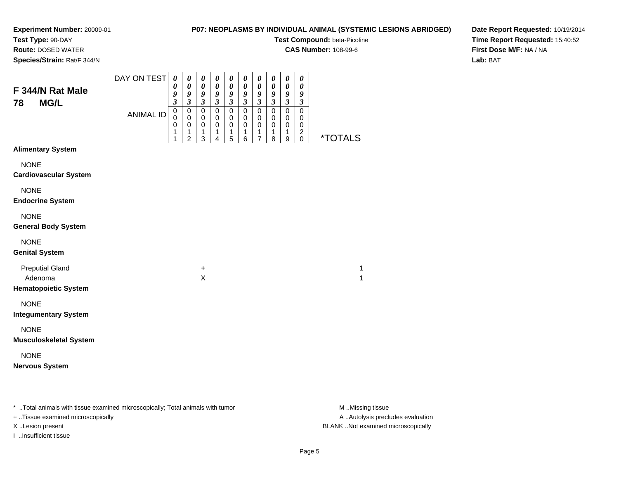## **P07: NEOPLASMS BY INDIVIDUAL ANIMAL (SYSTEMIC LESIONS ABRIDGED)**

**Test Compound:** beta-Picoline

**CAS Number:** 108-99-6

**Species/Strain:** Rat/F 344/N

**Route:** DOSED WATER

**Date Report Requested:** 10/19/2014**Time Report Requested:** 15:40:52**First Dose M/F:** NA / NA**Lab:** BAT

| F 344/N Rat Male<br><b>MG/L</b><br>78                            | DAY ON TEST<br><b>ANIMAL ID</b> | $\boldsymbol{\theta}$<br>0<br>9<br>$\mathfrak{z}$<br>$\mathbf 0$<br>0<br>0<br>1<br>1 | 0<br>$\boldsymbol{\theta}$<br>9<br>$\mathfrak{z}$<br>$\pmb{0}$<br>$\pmb{0}$<br>$\pmb{0}$<br>1<br>$\overline{2}$ | $\boldsymbol{\theta}$<br>$\boldsymbol{\theta}$<br>$\pmb{9}$<br>$\mathfrak{z}$<br>$\mathbf 0$<br>0<br>$\pmb{0}$<br>1<br>3 | $\pmb{\theta}$<br>$\pmb{\theta}$<br>$\boldsymbol{g}$<br>$\mathfrak{z}$<br>$\mathbf 0$<br>0<br>$\mathbf 0$<br>1<br>4 | 0<br>$\pmb{\theta}$<br>$\frac{9}{3}$<br>0<br>0<br>0<br>1<br>5 | 0<br>$\pmb{\theta}$<br>$\pmb{9}$<br>$\mathfrak{z}$<br>$\pmb{0}$<br>0<br>$\,0\,$<br>1<br>6 | $\boldsymbol{\theta}$<br>$\pmb{\theta}$<br>$\boldsymbol{g}$<br>$\mathfrak{z}$<br>$\pmb{0}$<br>$\mathbf 0$<br>$\pmb{0}$<br>1<br>7 | $\pmb{\theta}$<br>$\pmb{\theta}$<br>$\pmb{9}$<br>$\mathfrak{z}$<br>$\pmb{0}$<br>0<br>$\pmb{0}$<br>$\mathbf{1}$<br>8 | $\boldsymbol{\theta}$<br>$\pmb{\theta}$<br>$\boldsymbol{g}$<br>$\mathfrak{z}$<br>0<br>0<br>$\pmb{0}$<br>$\mathbf{1}$<br>9 | $\pmb{\theta}$<br>$\pmb{\theta}$<br>9<br>$\boldsymbol{\mathfrak{z}}$<br>0<br>0<br>0<br>$\overline{c}$<br>0 | <i><b>*TOTALS</b></i> |  |
|------------------------------------------------------------------|---------------------------------|--------------------------------------------------------------------------------------|-----------------------------------------------------------------------------------------------------------------|--------------------------------------------------------------------------------------------------------------------------|---------------------------------------------------------------------------------------------------------------------|---------------------------------------------------------------|-------------------------------------------------------------------------------------------|----------------------------------------------------------------------------------------------------------------------------------|---------------------------------------------------------------------------------------------------------------------|---------------------------------------------------------------------------------------------------------------------------|------------------------------------------------------------------------------------------------------------|-----------------------|--|
| <b>Alimentary System</b>                                         |                                 |                                                                                      |                                                                                                                 |                                                                                                                          |                                                                                                                     |                                                               |                                                                                           |                                                                                                                                  |                                                                                                                     |                                                                                                                           |                                                                                                            |                       |  |
| <b>NONE</b><br><b>Cardiovascular System</b>                      |                                 |                                                                                      |                                                                                                                 |                                                                                                                          |                                                                                                                     |                                                               |                                                                                           |                                                                                                                                  |                                                                                                                     |                                                                                                                           |                                                                                                            |                       |  |
| <b>NONE</b><br><b>Endocrine System</b>                           |                                 |                                                                                      |                                                                                                                 |                                                                                                                          |                                                                                                                     |                                                               |                                                                                           |                                                                                                                                  |                                                                                                                     |                                                                                                                           |                                                                                                            |                       |  |
| <b>NONE</b><br><b>General Body System</b>                        |                                 |                                                                                      |                                                                                                                 |                                                                                                                          |                                                                                                                     |                                                               |                                                                                           |                                                                                                                                  |                                                                                                                     |                                                                                                                           |                                                                                                            |                       |  |
| <b>NONE</b><br><b>Genital System</b>                             |                                 |                                                                                      |                                                                                                                 |                                                                                                                          |                                                                                                                     |                                                               |                                                                                           |                                                                                                                                  |                                                                                                                     |                                                                                                                           |                                                                                                            |                       |  |
| <b>Preputial Gland</b><br>Adenoma<br><b>Hematopoietic System</b> |                                 |                                                                                      |                                                                                                                 | $\ddot{}$<br>X                                                                                                           |                                                                                                                     |                                                               |                                                                                           |                                                                                                                                  |                                                                                                                     |                                                                                                                           |                                                                                                            | 1<br>1                |  |
| <b>NONE</b><br><b>Integumentary System</b>                       |                                 |                                                                                      |                                                                                                                 |                                                                                                                          |                                                                                                                     |                                                               |                                                                                           |                                                                                                                                  |                                                                                                                     |                                                                                                                           |                                                                                                            |                       |  |
| <b>NONE</b><br><b>Musculoskeletal System</b>                     |                                 |                                                                                      |                                                                                                                 |                                                                                                                          |                                                                                                                     |                                                               |                                                                                           |                                                                                                                                  |                                                                                                                     |                                                                                                                           |                                                                                                            |                       |  |
| <b>NONE</b><br><b>Nervous System</b>                             |                                 |                                                                                      |                                                                                                                 |                                                                                                                          |                                                                                                                     |                                                               |                                                                                           |                                                                                                                                  |                                                                                                                     |                                                                                                                           |                                                                                                            |                       |  |

\* ..Total animals with tissue examined microscopically; Total animals with tumor **M** . Missing tissue M ..Missing tissue

+ ..Tissue examined microscopically

I ..Insufficient tissue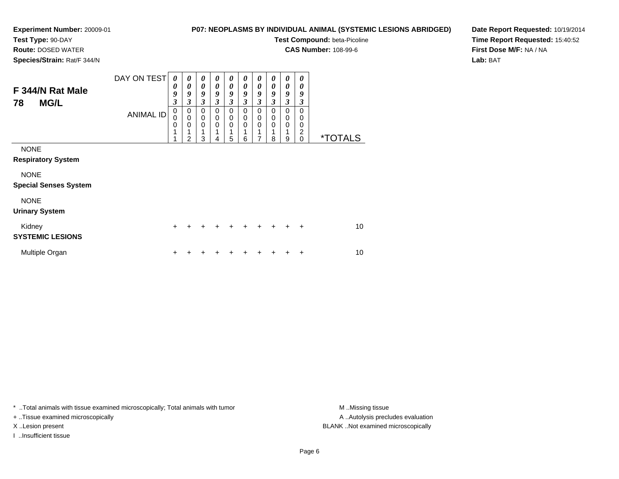## **P07: NEOPLASMS BY INDIVIDUAL ANIMAL (SYSTEMIC LESIONS ABRIDGED)**

**Test Compound:** beta-Picoline

**CAS Number:** 108-99-6

**Species/Strain:** Rat/F 344/N

**Route:** DOSED WATER

**Date Report Requested:** 10/19/2014**Time Report Requested:** 15:40:52**First Dose M/F:** NA / NA**Lab:** BAT

| F 344/N Rat Male<br><b>MG/L</b><br>78       | DAY ON TEST<br><b>ANIMAL ID</b> | 0<br>0<br>9<br>3<br>0<br>$\mathbf 0$<br>0<br>1 | 0<br>0<br>9<br>3<br>0<br>$\mathbf 0$<br>$\mathbf 0$ | $\boldsymbol{\theta}$<br>$\boldsymbol{\theta}$<br>9<br>3<br>$\mathbf 0$<br>$\mathbf 0$<br>$\mathbf 0$<br>1 | $\boldsymbol{\theta}$<br>$\boldsymbol{\theta}$<br>9<br>$\mathfrak{z}$<br>0<br>$\mathbf 0$<br>$\mathbf 0$ | 0<br>$\boldsymbol{\theta}$<br>9<br>$\mathfrak{z}$<br>$\mathbf 0$<br>$\pmb{0}$<br>$\mathbf 0$<br>1 | $\boldsymbol{\theta}$<br>0<br>9<br>$\mathfrak{z}$<br>$\mathbf 0$<br>$\pmb{0}$<br>$\mathbf 0$<br>1 | $\boldsymbol{\theta}$<br>0<br>9<br>$\mathfrak{z}$<br>$\mathbf 0$<br>$\mathbf 0$<br>$\mathbf 0$<br>1 | 0<br>0<br>9<br>3<br>$\Omega$<br>$\mathbf 0$<br>0 | 0<br>$\boldsymbol{\theta}$<br>9<br>$\mathfrak{z}$<br>$\mathbf 0$<br>$\pmb{0}$<br>$\mathbf 0$<br>1 | 0<br>0<br>9<br>3<br>$\Omega$<br>0<br>0<br>$\overline{c}$ |                       |
|---------------------------------------------|---------------------------------|------------------------------------------------|-----------------------------------------------------|------------------------------------------------------------------------------------------------------------|----------------------------------------------------------------------------------------------------------|---------------------------------------------------------------------------------------------------|---------------------------------------------------------------------------------------------------|-----------------------------------------------------------------------------------------------------|--------------------------------------------------|---------------------------------------------------------------------------------------------------|----------------------------------------------------------|-----------------------|
| <b>NONE</b><br><b>Respiratory System</b>    |                                 | 4                                              | $\mathfrak{p}$                                      | 3                                                                                                          | 4                                                                                                        | 5                                                                                                 | 6                                                                                                 | 7                                                                                                   | 8                                                | 9                                                                                                 | $\Omega$                                                 | <i><b>*TOTALS</b></i> |
| <b>NONE</b><br><b>Special Senses System</b> |                                 |                                                |                                                     |                                                                                                            |                                                                                                          |                                                                                                   |                                                                                                   |                                                                                                     |                                                  |                                                                                                   |                                                          |                       |
| <b>NONE</b><br><b>Urinary System</b>        |                                 |                                                |                                                     |                                                                                                            |                                                                                                          |                                                                                                   |                                                                                                   |                                                                                                     |                                                  |                                                                                                   |                                                          |                       |
| Kidney<br><b>SYSTEMIC LESIONS</b>           |                                 | +                                              | +                                                   | +                                                                                                          | +                                                                                                        | +                                                                                                 | $\ddot{}$                                                                                         | $\pm$                                                                                               | $\ddot{}$                                        | $\ddot{}$                                                                                         | $\ddot{}$                                                | 10 <sup>1</sup>       |
| Multiple Organ                              |                                 | +                                              |                                                     |                                                                                                            |                                                                                                          |                                                                                                   |                                                                                                   |                                                                                                     |                                                  |                                                                                                   | ٠                                                        | 10 <sup>1</sup>       |

\* ..Total animals with tissue examined microscopically; Total animals with tumor **M** . Missing tissue M ..Missing tissue

+ ..Tissue examined microscopically

I ..Insufficient tissue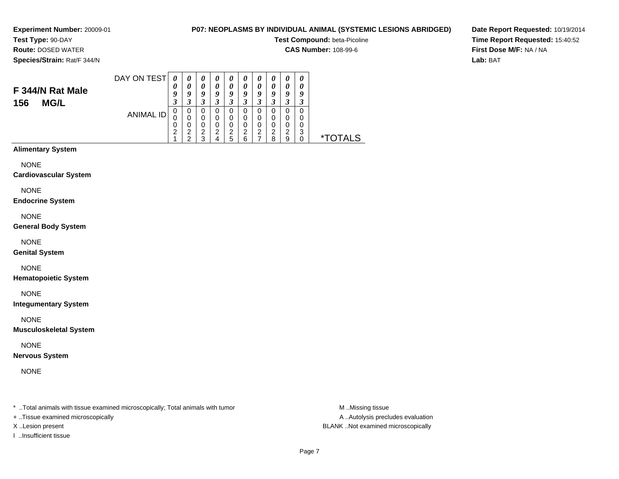# **P07: NEOPLASMS BY INDIVIDUAL ANIMAL (SYSTEMIC LESIONS ABRIDGED)**

**Test Compound:** beta-Picoline

**CAS Number:** 108-99-6

**Species/Strain:** Rat/F 344/N

**Route:** DOSED WATER

**F 344/N Rat Male**

**156 MG/L**

# **Date Report Requested:** 10/19/2014**Time Report Requested:** 15:40:52**First Dose M/F:** NA / NA**Lab:** BAT

| DAY ON TEST      | 0 | 0 | U      | $\boldsymbol{\theta}$ | $\boldsymbol{\theta}$ | 0 | $\boldsymbol{\theta}$ | $\boldsymbol{\theta}$ | $\boldsymbol{\theta}$ | 0 |           |
|------------------|---|---|--------|-----------------------|-----------------------|---|-----------------------|-----------------------|-----------------------|---|-----------|
|                  | 0 | 0 | 0      | $\boldsymbol{\theta}$ | 0                     | 0 | 0                     | 0                     | $\boldsymbol{\theta}$ | 0 |           |
|                  | 9 | 9 | 9      | 9                     | 9                     | 9 | 9                     | y                     | 9                     | g |           |
|                  | 3 | 3 | 3      | 3                     | 3                     | 3 | 3                     | 3                     | 3                     |   |           |
| <b>ANIMAL ID</b> | 0 | 0 | 0      | 0                     | 0                     | 0 | 0                     | 0                     | 0                     | 0 |           |
|                  | 0 | 0 | 0      | 0                     | 0                     | 0 | 0                     | 0                     | 0                     |   |           |
|                  | 0 | 0 | 0      | 0                     | 0                     | 0 | 0                     | 0                     | 0                     |   |           |
|                  | 2 | 2 | ⌒<br>∠ | 2                     | 2                     | 2 | 2                     | 2                     | 2                     | 3 |           |
|                  | и | ◠ | 3      |                       | 5                     | 6 |                       | 8                     | 9                     |   | $\star^-$ |

# **Alimentary System**

NONE

#### **Cardiovascular System**

NONE

#### **Endocrine System**

NONE

### **General Body System**

NONE

### **Genital System**

NONE

### **Hematopoietic System**

NONE

### **Integumentary System**

NONE

### **Musculoskeletal System**

NONE

## **Nervous System**

NONE

\* ..Total animals with tissue examined microscopically; Total animals with tumor **M** ..Missing tissue M ..Missing tissue

+ ..Tissue examined microscopically

I ..Insufficient tissue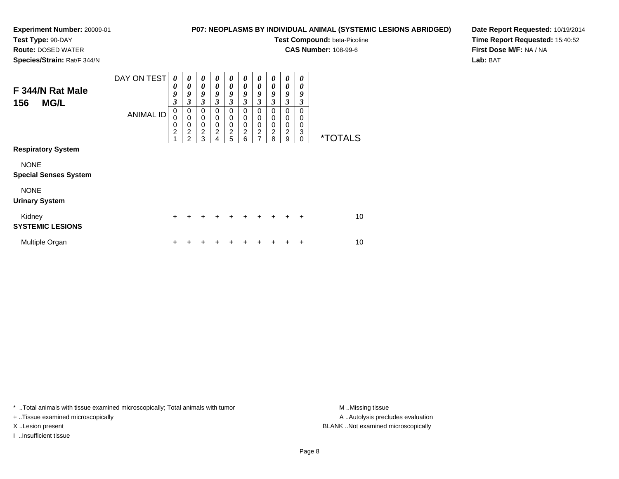## **P07: NEOPLASMS BY INDIVIDUAL ANIMAL (SYSTEMIC LESIONS ABRIDGED)**

**Test Compound:** beta-Picoline

**CAS Number:** 108-99-6

**Species/Strain:** Rat/F 344/N

**Route:** DOSED WATER

**Date Report Requested:** 10/19/2014**Time Report Requested:** 15:40:52**First Dose M/F:** NA / NA**Lab:** BAT

| F 344/N Rat Male<br><b>MG/L</b><br>156                                                  | DAY ON TEST<br><b>ANIMAL ID</b> | 0<br>0<br>9<br>3<br>$\mathbf 0$<br>0<br>0<br>$\overline{2}$ | $\boldsymbol{\theta}$<br>0<br>9<br>3<br>0<br>$\mathbf 0$<br>$\mathbf 0$<br>$\overline{\mathbf{c}}$<br>2 | $\boldsymbol{\theta}$<br>$\boldsymbol{\theta}$<br>9<br>$\mathfrak{z}$<br>0<br>$\mathbf 0$<br>$\mathbf 0$<br>$\overline{2}$<br>3 | $\boldsymbol{\theta}$<br>0<br>9<br>3<br>$\Omega$<br>$\mathbf 0$<br>0<br>$\overline{c}$<br>4 | 0<br>0<br>9<br>3<br>$\Omega$<br>0<br>0<br>$\boldsymbol{2}$<br>5 | 0<br>0<br>9<br>3<br>0<br>0<br>0<br>$\overline{c}$<br>6 | 0<br>0<br>9<br>3<br>0<br>0<br>0<br>$\boldsymbol{2}$<br>$\overline{ }$ | 0<br>0<br>9<br>3<br>$\Omega$<br>0<br>0<br>$\overline{c}$<br>8 | $\boldsymbol{\theta}$<br>0<br>9<br>3<br>0<br>0<br>$\mathbf 0$<br>$\overline{2}$<br>9 | 0<br>0<br>9<br>3<br>$\Omega$<br>$\Omega$<br>0<br>3<br>$\Omega$ | <i><b>*TOTALS</b></i> |
|-----------------------------------------------------------------------------------------|---------------------------------|-------------------------------------------------------------|---------------------------------------------------------------------------------------------------------|---------------------------------------------------------------------------------------------------------------------------------|---------------------------------------------------------------------------------------------|-----------------------------------------------------------------|--------------------------------------------------------|-----------------------------------------------------------------------|---------------------------------------------------------------|--------------------------------------------------------------------------------------|----------------------------------------------------------------|-----------------------|
| <b>Respiratory System</b><br><b>NONE</b><br><b>Special Senses System</b><br><b>NONE</b> |                                 |                                                             |                                                                                                         |                                                                                                                                 |                                                                                             |                                                                 |                                                        |                                                                       |                                                               |                                                                                      |                                                                |                       |
| <b>Urinary System</b><br>Kidney<br><b>SYSTEMIC LESIONS</b>                              |                                 | $\ddot{}$                                                   |                                                                                                         |                                                                                                                                 |                                                                                             | +                                                               | +                                                      | +                                                                     | $\div$                                                        | ÷                                                                                    | $\div$                                                         | 10                    |
| Multiple Organ                                                                          |                                 | +                                                           |                                                                                                         |                                                                                                                                 |                                                                                             |                                                                 |                                                        |                                                                       |                                                               |                                                                                      | ÷                                                              | 10                    |

\* ..Total animals with tissue examined microscopically; Total animals with tumor **M** . Missing tissue M ..Missing tissue

+ ..Tissue examined microscopically

I ..Insufficient tissue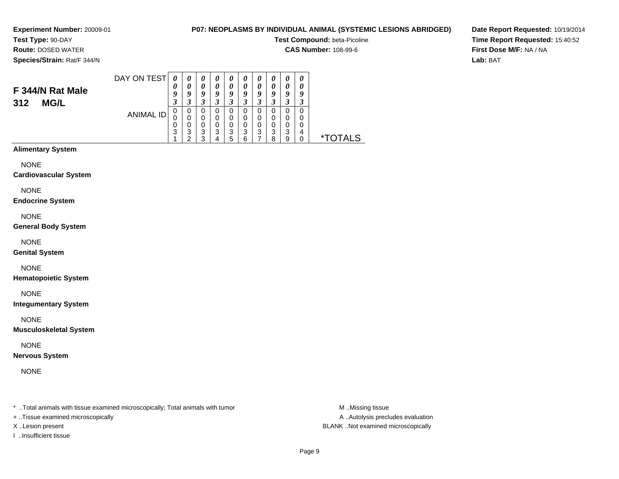### **P07: NEOPLASMS BY INDIVIDUAL ANIMAL (SYSTEMIC LESIONS ABRIDGED)**

**Test Compound:** beta-Picoline

**CAS Number:** 108-99-6

**Date Report Requested:** 10/19/2014**Time Report Requested:** 15:40:52**First Dose M/F:** NA / NA**Lab:** BAT

# **Species/Strain:** Rat/F 344/N

**Route:** DOSED WATER

**F 344/N Rat Male**

**312 MG/L**

#### DAY ON TESTANIMAL ID*0 0 9 3* 0 0 0 3 1*0 0 9 3*0<br>0<br>0<br>3<br>2 *0 0 9 3* 0 0 0 3 3*0 0 9 3* 0 0 0 3 4*0 0 9 3* 0 0 0 3 5*0 0 9 3* 0 0 0 3 6*0 0 9 3* 0 0 0 3 7*0 0 9 3*0<br>0<br>0<br>3<br>8 *0 0 9 3* 0 0 0 3 9*0 0 9 3* 0 0 0 4 $\dot{0}$ 0 \*TOTALS

# **Alimentary System**

**NONE** 

#### **Cardiovascular System**

NONE

#### **Endocrine System**

NONE

#### **General Body System**

NONE

#### **Genital System**

NONE

### **Hematopoietic System**

NONE

### **Integumentary System**

NONE

#### **Musculoskeletal System**

NONE

### **Nervous System**

NONE

\* ..Total animals with tissue examined microscopically; Total animals with tumor **M** ..Missing tissue M ..Missing tissue

- + ..Tissue examined microscopically
- 
- I ..Insufficient tissue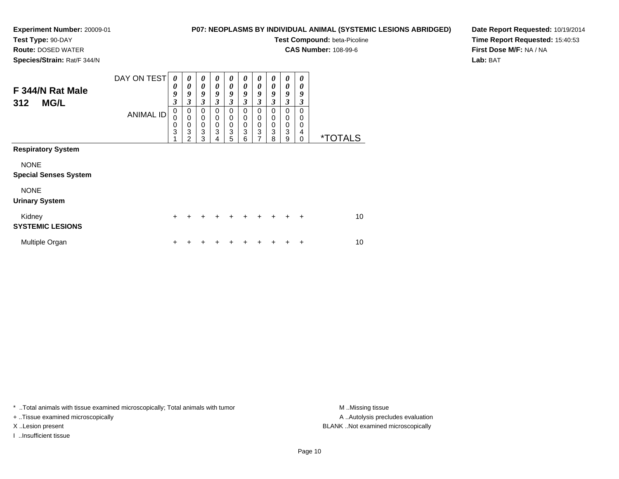**Route:** DOSED WATER**Species/Strain:** Rat/F 344/N

## **P07: NEOPLASMS BY INDIVIDUAL ANIMAL (SYSTEMIC LESIONS ABRIDGED)**

**Test Compound:** beta-Picoline

**CAS Number:** 108-99-6

\*TOTALS

**Date Report Requested:** 10/19/2014**Time Report Requested:** 15:40:53**First Dose M/F:** NA / NA**Lab:** BAT

| F 344/N Rat Male<br><b>MG/L</b><br>312      | DAY ON TEST      | 0<br>0<br>9<br>3 | 0<br>0<br>9<br>3                                       | 0<br>0<br>9<br>3      | 0<br>0<br>9<br>3                       | 0<br>0<br>9<br>3      | 0<br>0<br>9<br>3      | 0<br>0<br>9<br>3                          | 0<br>0<br>9<br>3      | 0<br>0<br>9<br>3      | 0<br>0<br>9<br>3      |
|---------------------------------------------|------------------|------------------|--------------------------------------------------------|-----------------------|----------------------------------------|-----------------------|-----------------------|-------------------------------------------|-----------------------|-----------------------|-----------------------|
|                                             | <b>ANIMAL ID</b> | 0<br>0<br>0<br>3 | 0<br>$\mathbf 0$<br>$\mathbf 0$<br>3<br>$\overline{2}$ | 0<br>0<br>0<br>3<br>3 | 0<br>$\Omega$<br>$\mathbf 0$<br>3<br>4 | 0<br>0<br>0<br>3<br>5 | 0<br>0<br>0<br>3<br>6 | 0<br>$\mathbf 0$<br>$\mathbf 0$<br>3<br>7 | 0<br>0<br>0<br>3<br>8 | 0<br>0<br>0<br>3<br>9 | 0<br>0<br>0<br>4<br>0 |
| <b>Respiratory System</b>                   |                  |                  |                                                        |                       |                                        |                       |                       |                                           |                       |                       |                       |
| <b>NONE</b><br><b>Special Senses System</b> |                  |                  |                                                        |                       |                                        |                       |                       |                                           |                       |                       |                       |

NONE

### **Urinary System**

| Kidney<br><b>SYSTEMIC LESIONS</b> |  |  | + + + + + + + + + + |  |  | 10 |
|-----------------------------------|--|--|---------------------|--|--|----|
| Multiple Organ                    |  |  | + + + + + + + + + + |  |  | 10 |

\* ..Total animals with tissue examined microscopically; Total animals with tumor **M** . Missing tissue M ..Missing tissue

+ ..Tissue examined microscopically

I ..Insufficient tissue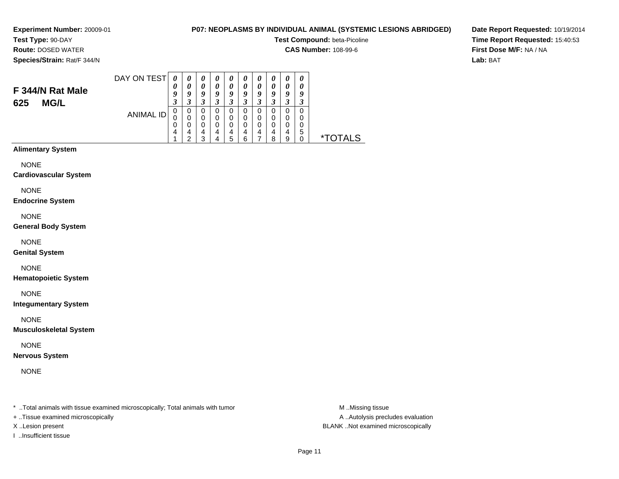## **P07: NEOPLASMS BY INDIVIDUAL ANIMAL (SYSTEMIC LESIONS ABRIDGED)**

**Test Compound:** beta-Picoline

**CAS Number:** 108-99-6

**Date Report Requested:** 10/19/2014**Time Report Requested:** 15:40:53**First Dose M/F:** NA / NA**Lab:** BAT

**Species/Strain:** Rat/F 344/N

**F 344/N Rat Male**

**625 MG/L**

**Test Type:** 90-DAY**Route:** DOSED WATER

| DAY ON TEST      | 0 | 0 | 0 | U | U | U        | 0 | U | '' | U |   |
|------------------|---|---|---|---|---|----------|---|---|----|---|---|
|                  |   |   | 0 | 0 | 0 | $\theta$ | 0 |   |    |   |   |
|                  | g | 9 | 9 | g | 9 | 9        | g | 9 | y  | 9 |   |
|                  | 3 | 3 | 3 | 3 | 3 | 3        |   |   |    | 3 |   |
|                  | 0 | 0 | 0 | 0 | 0 | 0        |   | 0 |    | 0 |   |
| <b>ANIMAL ID</b> | 0 | 0 | 0 | 0 | 0 | 0        | 0 | 0 |    | 0 |   |
|                  | 0 | O | 0 | 0 | 0 | 0        |   | 0 |    |   |   |
|                  | 4 | 4 | 4 | 4 | 4 | 4        | 4 | 4 | 4  | 5 |   |
|                  |   | ◠ | ર |   | 5 | հ        |   | 8 | 9  |   | × |

# **Alimentary System**

NONE

#### **Cardiovascular System**

NONE

#### **Endocrine System**

NONE

#### **General Body System**

NONE

#### **Genital System**

NONE

### **Hematopoietic System**

NONE

### **Integumentary System**

NONE

#### **Musculoskeletal System**

NONE

### **Nervous System**

NONE

\* ..Total animals with tissue examined microscopically; Total animals with tumor **M** ..Missing tissue M ..Missing tissue

+ ..Tissue examined microscopically

I ..Insufficient tissue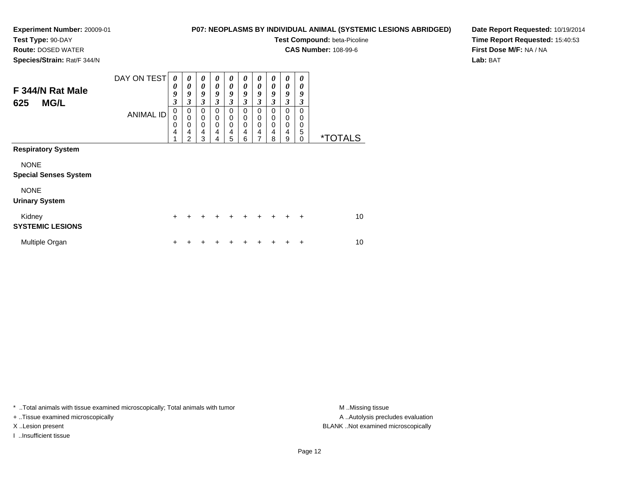## **P07: NEOPLASMS BY INDIVIDUAL ANIMAL (SYSTEMIC LESIONS ABRIDGED)**

**Test Compound:** beta-Picoline

**CAS Number:** 108-99-6

**Species/Strain:** Rat/F 344/N

**Route:** DOSED WATER

**Date Report Requested:** 10/19/2014**Time Report Requested:** 15:40:53**First Dose M/F:** NA / NA**Lab:** BAT

| F 344/N Rat Male<br><b>MG/L</b><br>625      | DAY ON TEST<br><b>ANIMAL ID</b> | 0<br>0<br>9<br>3<br>$\mathbf 0$<br>$\mathbf 0$<br>$\mathbf 0$<br>$\overline{\mathbf{4}}$ | 0<br>0<br>9<br>3<br>$\mathbf 0$<br>$\mathbf 0$<br>0<br>$\overline{4}$<br>$\mathfrak{p}$ | 0<br>$\boldsymbol{\theta}$<br>9<br>3<br>$\mathbf 0$<br>$\mathbf 0$<br>$\mathbf 0$<br>$\overline{4}$<br>3 | 0<br>0<br>9<br>3<br>0<br>0<br>0<br>4<br>4 | 0<br>0<br>9<br>3<br>$\mathbf 0$<br>0<br>0<br>4<br>5 | 0<br>0<br>9<br>3<br>0<br>0<br>0<br>4<br>6 | 0<br>0<br>9<br>3<br>0<br>0<br>0<br>4<br>7 | 0<br>0<br>9<br>3<br>0<br>0<br>0<br>4<br>8 | 0<br>0<br>9<br>3<br>0<br>0<br>0<br>4<br>9 | 0<br>0<br>9<br>3<br>$\Omega$<br>$\Omega$<br>0<br>5<br>$\Omega$ | <i><b>*TOTALS</b></i> |
|---------------------------------------------|---------------------------------|------------------------------------------------------------------------------------------|-----------------------------------------------------------------------------------------|----------------------------------------------------------------------------------------------------------|-------------------------------------------|-----------------------------------------------------|-------------------------------------------|-------------------------------------------|-------------------------------------------|-------------------------------------------|----------------------------------------------------------------|-----------------------|
| <b>Respiratory System</b>                   |                                 |                                                                                          |                                                                                         |                                                                                                          |                                           |                                                     |                                           |                                           |                                           |                                           |                                                                |                       |
| <b>NONE</b><br><b>Special Senses System</b> |                                 |                                                                                          |                                                                                         |                                                                                                          |                                           |                                                     |                                           |                                           |                                           |                                           |                                                                |                       |
| <b>NONE</b><br><b>Urinary System</b>        |                                 |                                                                                          |                                                                                         |                                                                                                          |                                           |                                                     |                                           |                                           |                                           |                                           |                                                                |                       |
| Kidney<br><b>SYSTEMIC LESIONS</b>           |                                 | $\ddot{}$                                                                                | +                                                                                       | +                                                                                                        | +                                         | $\div$                                              | $\div$                                    | $\div$                                    | $\ddot{}$                                 | $\div$                                    | $\div$                                                         | 10                    |
| Multiple Organ                              |                                 | +                                                                                        |                                                                                         |                                                                                                          |                                           |                                                     |                                           |                                           |                                           |                                           | ÷                                                              | 10                    |

\* ..Total animals with tissue examined microscopically; Total animals with tumor **M** . Missing tissue M ..Missing tissue

+ ..Tissue examined microscopically

I ..Insufficient tissue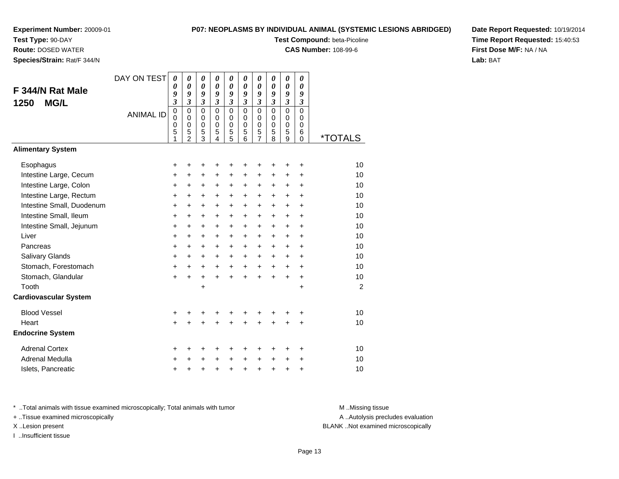**Test Type:** 90-DAY

**Route:** DOSED WATER

**Species/Strain:** Rat/F 344/N

# **P07: NEOPLASMS BY INDIVIDUAL ANIMAL (SYSTEMIC LESIONS ABRIDGED)**

**Test Compound:** beta-Picoline

**CAS Number:** 108-99-6

**Date Report Requested:** 10/19/2014**Time Report Requested:** 15:40:53**First Dose M/F:** NA / NA**Lab:** BAT

| F 344/N Rat Male                    | DAY ON TEST      | 0<br>0<br>9                                     | 0<br>0<br>9                                                        | 0<br>$\boldsymbol{\theta}$<br>9              | 0<br>0<br>9                                                                 | 0<br>0<br>9                                           | 0<br>$\boldsymbol{\theta}$<br>9                                          | 0<br>$\boldsymbol{\theta}$<br>9                                                | 0<br>0<br>9                                                       | $\boldsymbol{\theta}$<br>0<br>9                          | 0<br>0<br>9                                                    |                       |
|-------------------------------------|------------------|-------------------------------------------------|--------------------------------------------------------------------|----------------------------------------------|-----------------------------------------------------------------------------|-------------------------------------------------------|--------------------------------------------------------------------------|--------------------------------------------------------------------------------|-------------------------------------------------------------------|----------------------------------------------------------|----------------------------------------------------------------|-----------------------|
| <b>MG/L</b><br>1250                 | <b>ANIMAL ID</b> | $\mathfrak{z}$<br>$\pmb{0}$<br>0<br>0<br>5<br>1 | 3<br>$\mathbf 0$<br>$\Omega$<br>$\mathbf 0$<br>5<br>$\overline{2}$ | 3<br>$\mathbf 0$<br>0<br>$\pmb{0}$<br>5<br>3 | $\boldsymbol{\mathfrak{z}}$<br>$\overline{0}$<br>0<br>$\mathbf 0$<br>5<br>4 | 3<br>$\mathbf 0$<br>0<br>$\mathbf 0$<br>$\frac{5}{5}$ | $\boldsymbol{\beta}$<br>$\overline{0}$<br>$\Omega$<br>$\Omega$<br>5<br>6 | $\boldsymbol{\beta}$<br>$\mathbf 0$<br>0<br>$\mathbf 0$<br>5<br>$\overline{7}$ | $\boldsymbol{\beta}$<br>$\mathbf 0$<br>0<br>$\mathbf 0$<br>5<br>8 | 3<br>$\mathbf 0$<br>$\mathbf 0$<br>$\mathbf 0$<br>5<br>9 | $\boldsymbol{\beta}$<br>$\mathbf 0$<br>0<br>$\Omega$<br>6<br>0 | <i><b>*TOTALS</b></i> |
| <b>Alimentary System</b>            |                  |                                                 |                                                                    |                                              |                                                                             |                                                       |                                                                          |                                                                                |                                                                   |                                                          |                                                                |                       |
| Esophagus<br>Intestine Large, Cecum |                  | +<br>+                                          | +<br>+                                                             | +<br>+                                       | +<br>+                                                                      | +<br>+                                                | +<br>+                                                                   | +                                                                              | +<br>+                                                            | ٠<br>+                                                   | +<br>+                                                         | 10<br>10              |
| Intestine Large, Colon              |                  | $\ddot{}$                                       | $\ddot{}$                                                          | $\ddot{}$                                    | $\ddot{}$                                                                   | +                                                     | $\ddot{}$                                                                | $\ddot{}$                                                                      | $\ddot{}$                                                         | $\ddot{}$                                                | $\ddot{}$                                                      | 10                    |
| Intestine Large, Rectum             |                  | $\ddot{}$                                       | $\ddot{}$                                                          | $\ddot{}$                                    | +                                                                           | $\ddot{}$                                             | $\ddot{}$                                                                | $\ddot{}$                                                                      | $\ddot{}$                                                         | $\ddot{}$                                                | $\ddot{}$                                                      | 10                    |
| Intestine Small, Duodenum           |                  | $\ddot{}$                                       | +                                                                  | $\ddot{}$                                    | $\ddot{}$                                                                   | $\ddot{}$                                             | $\ddot{}$                                                                | $\ddot{}$                                                                      | $\ddot{}$                                                         | $\ddot{}$                                                | +                                                              | 10                    |
| Intestine Small, Ileum              |                  | $\ddot{}$                                       | +                                                                  | $\ddot{}$                                    | +                                                                           | +                                                     | $\ddot{}$                                                                | $\ddot{}$                                                                      | $\ddot{}$                                                         | $\ddot{}$                                                | $\ddot{}$                                                      | 10                    |
| Intestine Small, Jejunum            |                  | $\ddot{}$                                       | $\ddot{}$                                                          | $\ddot{}$                                    | $\ddot{}$                                                                   | $\ddot{}$                                             | $\ddot{}$                                                                | $\ddot{}$                                                                      | $\ddot{}$                                                         | $\ddot{}$                                                | $\ddot{}$                                                      | 10                    |
| Liver                               |                  | $\ddot{}$                                       | $\ddot{}$                                                          | $\ddot{}$                                    | $\ddot{}$                                                                   | $\ddot{}$                                             | $\ddot{}$                                                                | $\ddot{}$                                                                      | $\ddot{}$                                                         | $\ddot{}$                                                | $\ddot{}$                                                      | 10                    |
| Pancreas                            |                  | +                                               | $\ddot{}$                                                          | $\ddot{}$                                    | $\ddot{}$                                                                   | $\ddot{}$                                             | $\ddot{}$                                                                | $\ddot{}$                                                                      | $\ddot{}$                                                         | $\ddot{}$                                                | +                                                              | 10                    |
| Salivary Glands                     |                  | +                                               | $\ddot{}$                                                          | $\ddot{}$                                    | $\ddot{}$                                                                   | +                                                     | $\ddot{}$                                                                | $\ddot{}$                                                                      | $\ddot{}$                                                         | $\ddot{}$                                                | $\ddot{}$                                                      | 10                    |
| Stomach, Forestomach                |                  | $\ddot{}$                                       | $\ddot{}$                                                          | $\ddot{}$                                    | $+$                                                                         | $\ddot{}$                                             | $\ddot{}$                                                                | $\ddot{}$                                                                      | $\ddot{}$                                                         | $\ddot{}$                                                | $\ddot{}$                                                      | 10                    |
| Stomach, Glandular                  |                  | $\ddot{}$                                       | $\ddot{}$                                                          | $\ddot{}$                                    | $\ddot{}$                                                                   | $\ddot{}$                                             | $\ddot{}$                                                                | $\ddot{}$                                                                      | $+$                                                               | $\ddot{}$                                                | $\ddot{}$                                                      | 10                    |
| Tooth                               |                  |                                                 |                                                                    | $\ddot{}$                                    |                                                                             |                                                       |                                                                          |                                                                                |                                                                   |                                                          | $\ddot{}$                                                      | $\overline{2}$        |
| <b>Cardiovascular System</b>        |                  |                                                 |                                                                    |                                              |                                                                             |                                                       |                                                                          |                                                                                |                                                                   |                                                          |                                                                |                       |
| <b>Blood Vessel</b>                 |                  | +                                               | +                                                                  | +                                            | +                                                                           | +                                                     | +                                                                        | +                                                                              | +                                                                 | +                                                        | +                                                              | 10                    |
| Heart                               |                  | $\ddot{}$                                       |                                                                    | $\ddot{}$                                    | $\ddot{}$                                                                   | $\ddot{}$                                             | $\ddot{}$                                                                | $\ddot{}$                                                                      | $\ddot{}$                                                         | $\ddot{}$                                                | +                                                              | 10                    |
| <b>Endocrine System</b>             |                  |                                                 |                                                                    |                                              |                                                                             |                                                       |                                                                          |                                                                                |                                                                   |                                                          |                                                                |                       |
| <b>Adrenal Cortex</b>               |                  | +                                               | +                                                                  | +                                            | +                                                                           | +                                                     | +                                                                        |                                                                                | +                                                                 | +                                                        | +                                                              | 10                    |
| Adrenal Medulla                     |                  | $\ddot{}$                                       | +                                                                  | $\ddot{}$                                    | $\ddot{}$                                                                   | $\ddot{}$                                             | $\ddot{}$                                                                | $\ddot{}$                                                                      | $\ddot{}$                                                         | $\ddot{}$                                                | +                                                              | 10                    |
| Islets, Pancreatic                  |                  | +                                               | +                                                                  | +                                            | +                                                                           | +                                                     | +                                                                        | +                                                                              | +                                                                 | +                                                        | +                                                              | 10                    |

\* ..Total animals with tissue examined microscopically; Total animals with tumor **M** . Missing tissue M ..Missing tissue

+ ..Tissue examined microscopically

I ..Insufficient tissue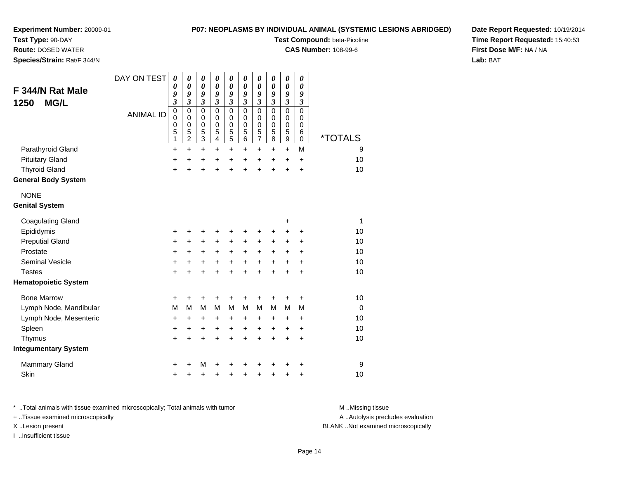# **Test Type:** 90-DAY

**Route:** DOSED WATER

**Species/Strain:** Rat/F 344/N

# **P07: NEOPLASMS BY INDIVIDUAL ANIMAL (SYSTEMIC LESIONS ABRIDGED)**

**Test Compound:** beta-Picoline

**CAS Number:** 108-99-6

**Date Report Requested:** 10/19/2014**Time Report Requested:** 15:40:53**First Dose M/F:** NA / NA**Lab:** BAT

| F 344/N Rat Male            | DAY ON TEST      | $\boldsymbol{\theta}$<br>0<br>9                          | 0<br>$\boldsymbol{\theta}$<br>9                                              | 0<br>$\boldsymbol{\theta}$<br>9                                                       | 0<br>0<br>9                                                              | 0<br>$\boldsymbol{\theta}$<br>9                                          | 0<br>0<br>9                                                           | 0<br>$\boldsymbol{\theta}$<br>9                                                        | 0<br>0<br>9                                                                    | 0<br>$\pmb{\theta}$<br>9                                                          | 0<br>0<br>9                                              |                       |
|-----------------------------|------------------|----------------------------------------------------------|------------------------------------------------------------------------------|---------------------------------------------------------------------------------------|--------------------------------------------------------------------------|--------------------------------------------------------------------------|-----------------------------------------------------------------------|----------------------------------------------------------------------------------------|--------------------------------------------------------------------------------|-----------------------------------------------------------------------------------|----------------------------------------------------------|-----------------------|
| <b>MG/L</b><br>1250         | <b>ANIMAL ID</b> | $\overline{\mathbf{3}}$<br>$\pmb{0}$<br>0<br>0<br>5<br>1 | $\mathfrak{z}$<br>$\mathbf 0$<br>$\mathbf 0$<br>$\mathbf 0$<br>$\frac{5}{2}$ | $\overline{\mathbf{3}}$<br>$\mathbf 0$<br>$\mathbf 0$<br>$\mathbf 0$<br>$\frac{5}{3}$ | $\boldsymbol{\mathfrak{z}}$<br>$\mathbf 0$<br>0<br>$\mathbf 0$<br>5<br>4 | $\mathfrak{z}$<br>$\mathbf 0$<br>0<br>$\mathbf 0$<br>5<br>$\overline{5}$ | $\mathfrak{z}$<br>$\mathbf 0$<br>$\mathbf 0$<br>$\mathbf 0$<br>5<br>6 | $\overline{\mathbf{3}}$<br>$\mathbf 0$<br>$\mathbf 0$<br>$\pmb{0}$<br>5<br>$\tilde{7}$ | $\overline{\mathbf{3}}$<br>$\mathbf 0$<br>$\mathbf 0$<br>$\mathbf 0$<br>5<br>8 | $\overline{\mathbf{3}}$<br>$\mathsf 0$<br>$\mathbf 0$<br>0<br>5<br>$\overline{9}$ | 3<br>$\mathbf 0$<br>$\mathbf 0$<br>$\mathbf 0$<br>6<br>0 | <i><b>*TOTALS</b></i> |
| Parathyroid Gland           |                  | $\ddot{}$                                                | +                                                                            | +                                                                                     | +                                                                        | $\ddot{}$                                                                | +                                                                     | +                                                                                      | $\pm$                                                                          | $+$                                                                               | M                                                        | 9                     |
| <b>Pituitary Gland</b>      |                  | +                                                        | +                                                                            | +                                                                                     | +                                                                        | +                                                                        | +                                                                     | +                                                                                      | $\pm$                                                                          | +                                                                                 | $\ddot{}$                                                | 10                    |
| <b>Thyroid Gland</b>        |                  | $\ddot{}$                                                |                                                                              | +                                                                                     | $\ddot{}$                                                                | $\ddot{}$                                                                | $\ddot{}$                                                             | $\ddot{}$                                                                              | $\ddot{}$                                                                      | $\ddot{}$                                                                         | $\ddot{}$                                                | 10                    |
| <b>General Body System</b>  |                  |                                                          |                                                                              |                                                                                       |                                                                          |                                                                          |                                                                       |                                                                                        |                                                                                |                                                                                   |                                                          |                       |
| <b>NONE</b>                 |                  |                                                          |                                                                              |                                                                                       |                                                                          |                                                                          |                                                                       |                                                                                        |                                                                                |                                                                                   |                                                          |                       |
| <b>Genital System</b>       |                  |                                                          |                                                                              |                                                                                       |                                                                          |                                                                          |                                                                       |                                                                                        |                                                                                |                                                                                   |                                                          |                       |
| <b>Coagulating Gland</b>    |                  |                                                          |                                                                              |                                                                                       |                                                                          |                                                                          |                                                                       |                                                                                        |                                                                                | +                                                                                 |                                                          | 1                     |
| Epididymis                  |                  | +                                                        |                                                                              | +                                                                                     | +                                                                        | +                                                                        | +                                                                     | +                                                                                      | +                                                                              | $\pm$                                                                             | +                                                        | 10                    |
| <b>Preputial Gland</b>      |                  | +                                                        | +                                                                            | $\ddot{}$                                                                             | +                                                                        | +                                                                        | +                                                                     | +                                                                                      | $\pm$                                                                          | +                                                                                 | +                                                        | 10                    |
| Prostate                    |                  | +                                                        | +                                                                            | +                                                                                     | +                                                                        | +                                                                        | $\ddot{}$                                                             | $\ddot{}$                                                                              | $\pm$                                                                          | $\pm$                                                                             | $\ddot{}$                                                | 10                    |
| <b>Seminal Vesicle</b>      |                  | $\ddot{}$                                                | +                                                                            | +                                                                                     | $\ddot{}$                                                                | $\ddot{}$                                                                | $\ddot{}$                                                             | $\ddot{}$                                                                              | $\ddot{}$                                                                      | $\ddot{}$                                                                         | $\ddot{}$                                                | 10                    |
| <b>Testes</b>               |                  | $\ddot{}$                                                | $\div$                                                                       | $\ddot{}$                                                                             | $\ddot{}$                                                                | $\ddot{}$                                                                | $\ddot{}$                                                             | $\ddot{}$                                                                              | $\ddot{}$                                                                      | $\ddot{}$                                                                         | $\ddot{}$                                                | 10                    |
| <b>Hematopoietic System</b> |                  |                                                          |                                                                              |                                                                                       |                                                                          |                                                                          |                                                                       |                                                                                        |                                                                                |                                                                                   |                                                          |                       |
| <b>Bone Marrow</b>          |                  | +                                                        | +                                                                            | +                                                                                     | +                                                                        | +                                                                        | +                                                                     | +                                                                                      | +                                                                              | $\pm$                                                                             | +                                                        | 10                    |
| Lymph Node, Mandibular      |                  | M                                                        | M                                                                            | M                                                                                     | M                                                                        | M                                                                        | M                                                                     | M                                                                                      | М                                                                              | M                                                                                 | M                                                        | $\mathbf 0$           |
| Lymph Node, Mesenteric      |                  | $\ddot{}$                                                | +                                                                            | +                                                                                     | +                                                                        | +                                                                        | $\ddot{}$                                                             | +                                                                                      | $\pm$                                                                          | $\ddot{}$                                                                         | $\ddot{}$                                                | 10                    |
| Spleen                      |                  | +                                                        | $\ddot{}$                                                                    | $\ddot{}$                                                                             | $\ddot{}$                                                                | $\ddot{}$                                                                | $\ddot{}$                                                             | $\ddot{}$                                                                              | $\ddot{}$                                                                      | $\ddot{}$                                                                         | $\ddot{}$                                                | 10                    |
| Thymus                      |                  | $\ddot{}$                                                | $\ddot{}$                                                                    | $\ddot{}$                                                                             | $\ddot{}$                                                                | $\ddot{}$                                                                | $\ddot{}$                                                             | $\ddot{}$                                                                              | $\ddot{}$                                                                      | $\ddot{}$                                                                         | $\ddot{}$                                                | 10                    |
| <b>Integumentary System</b> |                  |                                                          |                                                                              |                                                                                       |                                                                          |                                                                          |                                                                       |                                                                                        |                                                                                |                                                                                   |                                                          |                       |
| <b>Mammary Gland</b>        |                  | +                                                        |                                                                              | M                                                                                     |                                                                          | +                                                                        |                                                                       | +                                                                                      |                                                                                |                                                                                   | +                                                        | 9                     |
| Skin                        |                  | $\ddot{}$                                                |                                                                              | +                                                                                     | +                                                                        | +                                                                        | +                                                                     | +                                                                                      | +                                                                              | ٠                                                                                 | +                                                        | 10                    |

\* ..Total animals with tissue examined microscopically; Total animals with tumor **M** . Missing tissue M ..Missing tissue A ..Autolysis precludes evaluation + ..Tissue examined microscopically X ..Lesion present BLANK ..Not examined microscopicallyI ..Insufficient tissue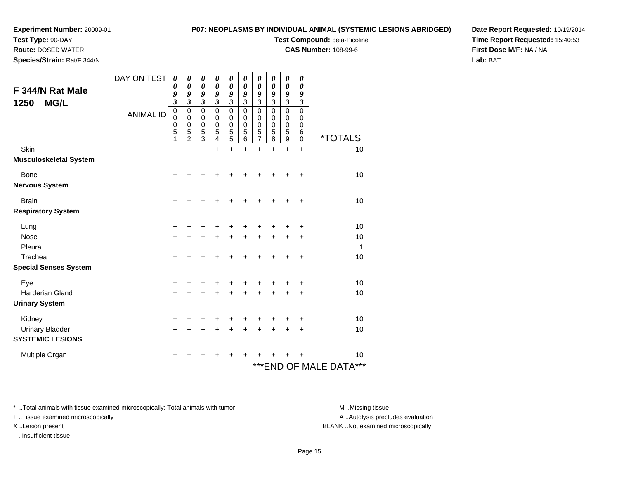# **Test Type:** 90-DAY

**Route:** DOSED WATER

**Species/Strain:** Rat/F 344/N

# **P07: NEOPLASMS BY INDIVIDUAL ANIMAL (SYSTEMIC LESIONS ABRIDGED)**

**Test Compound:** beta-Picoline

**CAS Number:** 108-99-6

**Date Report Requested:** 10/19/2014**Time Report Requested:** 15:40:53**First Dose M/F:** NA / NA**Lab:** BAT

| F 344/N Rat Male<br><b>MG/L</b><br>1250 | DAY ON TEST      | 0<br>0<br>9<br>$\overline{\mathbf{3}}$    | 0<br>$\boldsymbol{\theta}$<br>9<br>$\overline{\mathbf{3}}$ | 0<br>$\boldsymbol{\theta}$<br>9<br>$\overline{\mathbf{3}}$ | 0<br>$\boldsymbol{\theta}$<br>9<br>$\overline{\mathbf{3}}$ | 0<br>$\boldsymbol{\theta}$<br>9<br>$\overline{\mathbf{3}}$ | 0<br>$\boldsymbol{\theta}$<br>9<br>3   | 0<br>$\boldsymbol{\theta}$<br>9<br>$\overline{\mathbf{3}}$ | 0<br>$\pmb{\theta}$<br>9<br>3             | 0<br>$\boldsymbol{\theta}$<br>9<br>$\overline{\mathbf{3}}$ | 0<br>$\boldsymbol{\theta}$<br>9<br>3      |                            |
|-----------------------------------------|------------------|-------------------------------------------|------------------------------------------------------------|------------------------------------------------------------|------------------------------------------------------------|------------------------------------------------------------|----------------------------------------|------------------------------------------------------------|-------------------------------------------|------------------------------------------------------------|-------------------------------------------|----------------------------|
|                                         | <b>ANIMAL ID</b> | $\mathbf 0$<br>$\mathbf 0$<br>0<br>5<br>1 | 0<br>0<br>$\mathbf 0$<br>5<br>$\overline{2}$               | $\pmb{0}$<br>0<br>$\pmb{0}$<br>$\frac{5}{3}$               | 0<br>0<br>0<br>5<br>4                                      | $\mathbf 0$<br>0<br>0<br>5<br>5                            | 0<br>$\Omega$<br>$\mathbf 0$<br>5<br>6 | $\mathbf 0$<br>$\mathbf 0$<br>$\pmb{0}$<br>5<br>7          | $\mathbf 0$<br>0<br>$\mathbf 0$<br>5<br>8 | $\mathbf 0$<br>0<br>$\mathbf 0$<br>5<br>9                  | $\mathbf 0$<br>0<br>0<br>6<br>$\mathbf 0$ | <i><b>*TOTALS</b></i>      |
| Skin                                    |                  | +                                         | $\ddot{}$                                                  | $\ddot{}$                                                  | +                                                          | $\ddot{}$                                                  | ÷                                      | $\ddot{}$                                                  | $\div$                                    | $\ddot{}$                                                  | $\ddot{}$                                 | 10                         |
| <b>Musculoskeletal System</b>           |                  |                                           |                                                            |                                                            |                                                            |                                                            |                                        |                                                            |                                           |                                                            |                                           |                            |
| <b>Bone</b>                             |                  | +                                         |                                                            |                                                            |                                                            |                                                            |                                        |                                                            |                                           |                                                            | ٠                                         | 10                         |
| <b>Nervous System</b>                   |                  |                                           |                                                            |                                                            |                                                            |                                                            |                                        |                                                            |                                           |                                                            |                                           |                            |
| <b>Brain</b>                            |                  | $\ddot{}$                                 |                                                            |                                                            |                                                            |                                                            |                                        |                                                            |                                           |                                                            | +                                         | 10                         |
| <b>Respiratory System</b>               |                  |                                           |                                                            |                                                            |                                                            |                                                            |                                        |                                                            |                                           |                                                            |                                           |                            |
| Lung                                    |                  | +                                         | +                                                          | +                                                          |                                                            | +                                                          | +                                      | +                                                          |                                           |                                                            | +                                         | 10                         |
| <b>Nose</b>                             |                  | $\ddot{}$                                 | $\ddot{}$                                                  | +                                                          | $\ddot{}$                                                  | $\ddot{}$                                                  | $\ddot{}$                              | $\ddot{}$                                                  |                                           |                                                            | +                                         | 10                         |
| Pleura                                  |                  |                                           |                                                            | +                                                          |                                                            |                                                            |                                        |                                                            |                                           |                                                            |                                           | 1                          |
| Trachea                                 |                  | $\ddot{}$                                 | +                                                          | $\ddot{}$                                                  | +                                                          | +                                                          |                                        |                                                            |                                           |                                                            | +                                         | 10                         |
| <b>Special Senses System</b>            |                  |                                           |                                                            |                                                            |                                                            |                                                            |                                        |                                                            |                                           |                                                            |                                           |                            |
| Eye                                     |                  | $\ddot{}$                                 | +                                                          | +                                                          |                                                            |                                                            |                                        |                                                            |                                           |                                                            | +                                         | 10                         |
| Harderian Gland                         |                  | $\ddot{}$                                 | +                                                          | +                                                          |                                                            | +                                                          |                                        |                                                            |                                           |                                                            | ٠                                         | 10                         |
| <b>Urinary System</b>                   |                  |                                           |                                                            |                                                            |                                                            |                                                            |                                        |                                                            |                                           |                                                            |                                           |                            |
| Kidney                                  |                  | $\ddot{}$                                 | +                                                          | +                                                          |                                                            | +                                                          |                                        |                                                            |                                           |                                                            | +                                         | 10                         |
| <b>Urinary Bladder</b>                  |                  | $\ddot{}$                                 | +                                                          | +                                                          |                                                            | +                                                          | +                                      | +                                                          |                                           | ÷                                                          | +                                         | 10                         |
| <b>SYSTEMIC LESIONS</b>                 |                  |                                           |                                                            |                                                            |                                                            |                                                            |                                        |                                                            |                                           |                                                            |                                           |                            |
| Multiple Organ                          |                  | +                                         |                                                            |                                                            |                                                            |                                                            |                                        |                                                            |                                           |                                                            |                                           | 10                         |
|                                         |                  |                                           |                                                            |                                                            |                                                            |                                                            |                                        |                                                            |                                           |                                                            |                                           | ***<br>***END OF MALE DATA |

\* ..Total animals with tissue examined microscopically; Total animals with tumor **M** . Missing tissue M ..Missing tissue

+ ..Tissue examined microscopically

I ..Insufficient tissue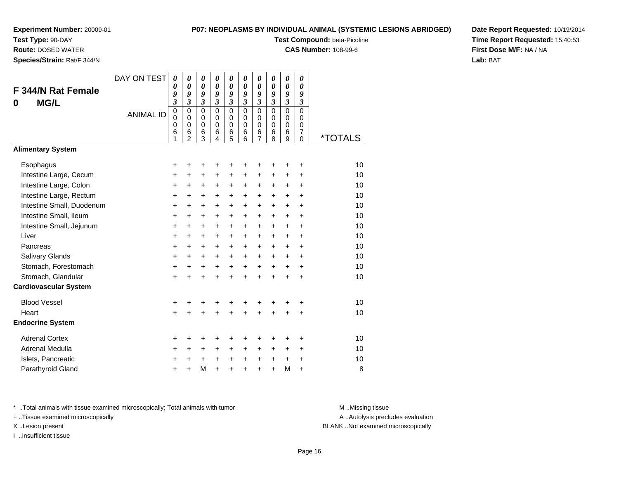**Test Type:** 90-DAY

**Route:** DOSED WATER

**Species/Strain:** Rat/F 344/N

## **P07: NEOPLASMS BY INDIVIDUAL ANIMAL (SYSTEMIC LESIONS ABRIDGED)**

**Test Compound:** beta-Picoline

**CAS Number:** 108-99-6

**Date Report Requested:** 10/19/2014**Time Report Requested:** 15:40:53**First Dose M/F:** NA / NA**Lab:** BAT

| F 344/N Rat Female<br><b>MG/L</b><br>0 | DAY ON TEST<br><b>ANIMAL ID</b> | 0<br>0<br>9<br>$\mathfrak{z}$<br>0<br>$\mathbf 0$<br>0<br>6<br>1 | 0<br>0<br>9<br>3<br>$\mathbf 0$<br>$\mathbf 0$<br>$\pmb{0}$<br>6<br>$\overline{2}$ | 0<br>$\theta$<br>9<br>3<br>$\Omega$<br>$\Omega$<br>$\pmb{0}$<br>6<br>3 | $\boldsymbol{\theta}$<br>0<br>9<br>3<br>$\Omega$<br>$\Omega$<br>$\mathbf 0$<br>6<br>4 | 0<br>0<br>9<br>3<br>$\mathbf 0$<br>0<br>0<br>6<br>5 | 0<br>$\boldsymbol{\theta}$<br>9<br>3<br>$\Omega$<br>0<br>$\mathbf 0$<br>6<br>6 | 0<br>0<br>9<br>$\mathfrak{z}$<br>$\mathbf 0$<br>0<br>$\mathbf 0$<br>6<br>7 | $\boldsymbol{\theta}$<br>0<br>9<br>$\mathfrak{z}$<br>$\mathbf 0$<br>$\Omega$<br>$\mathbf 0$<br>6<br>8 | 0<br>0<br>9<br>3<br>$\Omega$<br>$\Omega$<br>$\mathbf 0$<br>6<br>9 | 0<br>$\boldsymbol{\theta}$<br>9<br>3<br>$\mathbf 0$<br>$\Omega$<br>$\mathbf 0$<br>$\overline{7}$<br>$\mathbf 0$ | <i><b>*TOTALS</b></i> |
|----------------------------------------|---------------------------------|------------------------------------------------------------------|------------------------------------------------------------------------------------|------------------------------------------------------------------------|---------------------------------------------------------------------------------------|-----------------------------------------------------|--------------------------------------------------------------------------------|----------------------------------------------------------------------------|-------------------------------------------------------------------------------------------------------|-------------------------------------------------------------------|-----------------------------------------------------------------------------------------------------------------|-----------------------|
| <b>Alimentary System</b>               |                                 |                                                                  |                                                                                    |                                                                        |                                                                                       |                                                     |                                                                                |                                                                            |                                                                                                       |                                                                   |                                                                                                                 |                       |
| Esophagus                              |                                 | +                                                                | +                                                                                  | +                                                                      | +                                                                                     | ٠                                                   | +                                                                              | +                                                                          |                                                                                                       | ٠                                                                 | +                                                                                                               | 10                    |
| Intestine Large, Cecum                 |                                 | +                                                                | $\ddot{}$                                                                          | $\ddot{}$                                                              | $\ddot{}$                                                                             | $\ddot{}$                                           | $\ddot{}$                                                                      | $\ddot{}$                                                                  | $\ddot{}$                                                                                             | $\ddot{}$                                                         | $\ddot{}$                                                                                                       | 10                    |
| Intestine Large, Colon                 |                                 | +                                                                | +                                                                                  | $\ddot{}$                                                              | $\ddot{}$                                                                             | $\ddot{}$                                           | $\ddot{}$                                                                      | $\ddot{}$                                                                  | $\ddot{}$                                                                                             | $\ddot{}$                                                         | $\ddot{}$                                                                                                       | 10                    |
| Intestine Large, Rectum                |                                 | +                                                                | +                                                                                  | +                                                                      | $\ddot{}$                                                                             | $\ddot{}$                                           | $\ddot{}$                                                                      | $\ddot{}$                                                                  | $\ddot{}$                                                                                             | $\ddot{}$                                                         | +                                                                                                               | 10                    |
| Intestine Small, Duodenum              |                                 | +                                                                | +                                                                                  | +                                                                      | $\ddot{}$                                                                             | $+$                                                 | $\ddot{}$                                                                      | $\ddot{}$                                                                  | $\ddot{}$                                                                                             | $\ddot{}$                                                         | $\ddot{}$                                                                                                       | 10                    |
| Intestine Small, Ileum                 |                                 | +                                                                | $\ddot{}$                                                                          | $\ddot{}$                                                              | $\ddot{}$                                                                             | $+$                                                 | $\ddot{}$                                                                      | $\ddot{}$                                                                  | $\ddot{}$                                                                                             | $\ddot{}$                                                         | $\ddot{}$                                                                                                       | 10                    |
| Intestine Small, Jejunum               |                                 | +                                                                | $\ddot{}$                                                                          | $\ddot{}$                                                              | $\ddot{}$                                                                             | $\ddot{}$                                           | $\ddot{}$                                                                      | $\ddot{}$                                                                  | $\ddot{}$                                                                                             | $\ddot{}$                                                         | $\ddot{}$                                                                                                       | 10                    |
| Liver                                  |                                 | +                                                                | $\ddot{}$                                                                          | $\ddot{}$                                                              | $+$                                                                                   | $\ddot{}$                                           | $\ddot{}$                                                                      | $\ddot{}$                                                                  | $\ddot{}$                                                                                             | $\ddot{}$                                                         | $\ddot{}$                                                                                                       | 10                    |
| Pancreas                               |                                 | $\ddot{}$                                                        | +                                                                                  | $\ddot{}$                                                              | $\ddot{}$                                                                             | $+$                                                 | $\ddot{}$                                                                      | $\ddot{}$                                                                  | $\ddot{}$                                                                                             | $\ddot{}$                                                         | $\ddot{}$                                                                                                       | 10                    |
| Salivary Glands                        |                                 | +                                                                | $\ddot{}$                                                                          | $\ddot{}$                                                              | $\ddot{}$                                                                             | $+$                                                 | $\ddot{}$                                                                      | $\ddot{}$                                                                  | $\ddot{}$                                                                                             | $\ddot{}$                                                         | $\ddot{}$                                                                                                       | 10                    |
| Stomach, Forestomach                   |                                 | $\ddot{}$                                                        | $\ddot{}$                                                                          | $\ddot{}$                                                              | $+$                                                                                   | $\ddot{}$                                           | $\ddot{}$                                                                      | $\ddot{}$                                                                  | $\ddot{}$                                                                                             | $\ddot{}$                                                         | $\ddot{}$                                                                                                       | 10                    |
| Stomach, Glandular                     |                                 | $\ddot{}$                                                        | $\ddot{}$                                                                          | $\ddot{}$                                                              | $\ddot{}$                                                                             | $\ddot{}$                                           | $\ddot{}$                                                                      | $\ddot{}$                                                                  | ÷                                                                                                     | $\ddot{}$                                                         | $\ddot{}$                                                                                                       | 10                    |
| <b>Cardiovascular System</b>           |                                 |                                                                  |                                                                                    |                                                                        |                                                                                       |                                                     |                                                                                |                                                                            |                                                                                                       |                                                                   |                                                                                                                 |                       |
| <b>Blood Vessel</b>                    |                                 | +                                                                | +                                                                                  | +                                                                      | +                                                                                     | +                                                   | +                                                                              | +                                                                          |                                                                                                       | +                                                                 | +                                                                                                               | 10                    |
| Heart                                  |                                 | $\ddot{}$                                                        |                                                                                    | $\ddot{}$                                                              |                                                                                       | $\ddot{}$                                           | $\ddot{}$                                                                      | $\ddot{}$                                                                  | $\ddot{}$                                                                                             | $\ddot{}$                                                         | +                                                                                                               | 10                    |
| <b>Endocrine System</b>                |                                 |                                                                  |                                                                                    |                                                                        |                                                                                       |                                                     |                                                                                |                                                                            |                                                                                                       |                                                                   |                                                                                                                 |                       |
| <b>Adrenal Cortex</b>                  |                                 | +                                                                | +                                                                                  | +                                                                      | +                                                                                     | ٠                                                   | +                                                                              | +                                                                          | +                                                                                                     | +                                                                 | +                                                                                                               | 10                    |
| Adrenal Medulla                        |                                 | +                                                                | +                                                                                  | +                                                                      | $\ddot{}$                                                                             | $\pm$                                               | $\ddot{}$                                                                      | +                                                                          | +                                                                                                     | $\ddot{}$                                                         | $\ddot{}$                                                                                                       | 10                    |
| Islets, Pancreatic                     |                                 | +                                                                | +                                                                                  | +                                                                      | +                                                                                     | $\ddot{}$                                           | +                                                                              | +                                                                          | +                                                                                                     | $\ddot{}$                                                         | +                                                                                                               | 10                    |
| Parathyroid Gland                      |                                 | $\ddot{}$                                                        | +                                                                                  | M                                                                      | $\ddot{}$                                                                             | $\ddot{}$                                           | $\ddot{}$                                                                      | $\ddot{}$                                                                  | $\ddot{}$                                                                                             | M                                                                 | +                                                                                                               | 8                     |

\* ..Total animals with tissue examined microscopically; Total animals with tumor **M** . Missing tissue M ..Missing tissue

+ ..Tissue examined microscopically

I ..Insufficient tissue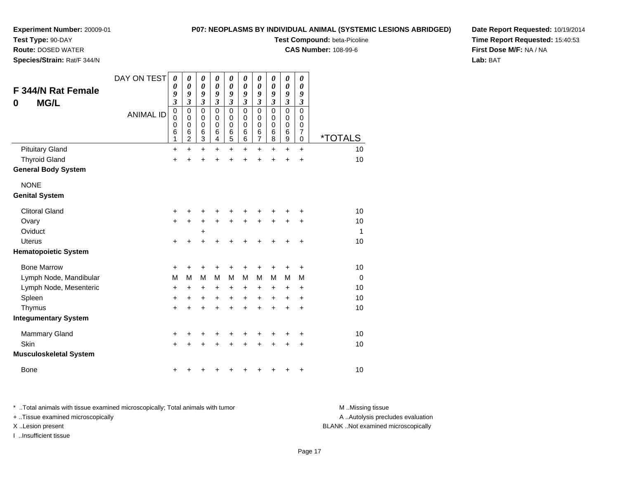**Test Type:** 90-DAY

**Route:** DOSED WATER

**Species/Strain:** Rat/F 344/N

### **P07: NEOPLASMS BY INDIVIDUAL ANIMAL (SYSTEMIC LESIONS ABRIDGED)**

**Test Compound:** beta-Picoline

**CAS Number:** 108-99-6

**Date Report Requested:** 10/19/2014**Time Report Requested:** 15:40:53**First Dose M/F:** NA / NA**Lab:** BAT

| <b>F 344/N Rat Female</b><br><b>MG/L</b><br>0 | DAY ON TEST<br><b>ANIMAL ID</b> | 0<br>$\boldsymbol{\theta}$<br>9<br>$\overline{\mathbf{3}}$<br>$\mathbf 0$<br>$\mathbf 0$<br>$\mathbf 0$<br>6 | 0<br>$\boldsymbol{\theta}$<br>9<br>$\overline{\mathbf{3}}$<br>$\mathbf 0$<br>$\mathbf 0$<br>$\mathbf 0$<br>$\,6$ | 0<br>$\boldsymbol{\theta}$<br>9<br>$\mathfrak{z}$<br>$\mathbf 0$<br>$\mathbf 0$<br>0<br>$\,6$ | 0<br>0<br>9<br>$\overline{\mathbf{3}}$<br>0<br>$\mathbf 0$<br>0<br>6 | 0<br>0<br>9<br>$\mathfrak{z}$<br>$\mathbf 0$<br>$\mathbf 0$<br>0<br>6 | 0<br>0<br>9<br>$\mathfrak{z}$<br>0<br>$\mathbf 0$<br>0<br>6 | $\boldsymbol{\theta}$<br>$\boldsymbol{\theta}$<br>9<br>$\mathfrak{z}$<br>$\mathbf 0$<br>$\mathbf 0$<br>$\mathbf 0$<br>$\,6$ | 0<br>$\boldsymbol{\theta}$<br>9<br>$\mathfrak{z}$<br>$\mathbf 0$<br>0<br>0<br>6 | $\pmb{\theta}$<br>0<br>9<br>$\mathfrak{z}$<br>$\mathbf 0$<br>$\mathbf 0$<br>$\pmb{0}$<br>6 | 0<br>$\boldsymbol{\theta}$<br>9<br>$\mathfrak{z}$<br>$\Omega$<br>0<br>0<br>7 |                       |
|-----------------------------------------------|---------------------------------|--------------------------------------------------------------------------------------------------------------|------------------------------------------------------------------------------------------------------------------|-----------------------------------------------------------------------------------------------|----------------------------------------------------------------------|-----------------------------------------------------------------------|-------------------------------------------------------------|-----------------------------------------------------------------------------------------------------------------------------|---------------------------------------------------------------------------------|--------------------------------------------------------------------------------------------|------------------------------------------------------------------------------|-----------------------|
|                                               |                                 | 1                                                                                                            | $\overline{c}$                                                                                                   | 3                                                                                             | 4                                                                    | 5                                                                     | 6                                                           | $\overline{7}$                                                                                                              | 8                                                                               | $\mathsf g$                                                                                | $\mathbf 0$                                                                  | <i><b>*TOTALS</b></i> |
| <b>Pituitary Gland</b>                        |                                 | $\ddot{}$                                                                                                    | $\ddot{}$                                                                                                        | $\ddot{}$                                                                                     | $\ddot{}$                                                            | $\ddot{}$                                                             | $\ddot{}$                                                   | $\ddot{}$                                                                                                                   | $\ddot{}$                                                                       | $\ddot{}$                                                                                  | $+$                                                                          | 10                    |
| <b>Thyroid Gland</b>                          |                                 | $\ddot{}$                                                                                                    | +                                                                                                                | +                                                                                             | +                                                                    | +                                                                     | +                                                           | +                                                                                                                           | +                                                                               | $\ddot{}$                                                                                  | $\ddot{}$                                                                    | 10                    |
| <b>General Body System</b>                    |                                 |                                                                                                              |                                                                                                                  |                                                                                               |                                                                      |                                                                       |                                                             |                                                                                                                             |                                                                                 |                                                                                            |                                                                              |                       |
| <b>NONE</b>                                   |                                 |                                                                                                              |                                                                                                                  |                                                                                               |                                                                      |                                                                       |                                                             |                                                                                                                             |                                                                                 |                                                                                            |                                                                              |                       |
| <b>Genital System</b>                         |                                 |                                                                                                              |                                                                                                                  |                                                                                               |                                                                      |                                                                       |                                                             |                                                                                                                             |                                                                                 |                                                                                            |                                                                              |                       |
| <b>Clitoral Gland</b>                         |                                 | +                                                                                                            |                                                                                                                  | +                                                                                             | +                                                                    | +                                                                     |                                                             |                                                                                                                             |                                                                                 |                                                                                            |                                                                              | 10                    |
| Ovary                                         |                                 | +                                                                                                            | $\pm$                                                                                                            | +                                                                                             | $\pm$                                                                | +                                                                     | +                                                           | +                                                                                                                           | +                                                                               | $\ddot{}$                                                                                  | +                                                                            | 10                    |
| Oviduct                                       |                                 |                                                                                                              |                                                                                                                  | +                                                                                             |                                                                      |                                                                       |                                                             |                                                                                                                             |                                                                                 |                                                                                            |                                                                              | 1                     |
| <b>Uterus</b>                                 |                                 | $\ddot{}$                                                                                                    | +                                                                                                                | $\ddot{}$                                                                                     | +                                                                    | +                                                                     | +                                                           |                                                                                                                             |                                                                                 |                                                                                            | +                                                                            | 10                    |
| <b>Hematopoietic System</b>                   |                                 |                                                                                                              |                                                                                                                  |                                                                                               |                                                                      |                                                                       |                                                             |                                                                                                                             |                                                                                 |                                                                                            |                                                                              |                       |
| <b>Bone Marrow</b>                            |                                 | +                                                                                                            | +                                                                                                                | +                                                                                             | +                                                                    | +                                                                     |                                                             | +                                                                                                                           |                                                                                 |                                                                                            | +                                                                            | 10                    |
| Lymph Node, Mandibular                        |                                 | M                                                                                                            | м                                                                                                                | M                                                                                             | M                                                                    | M                                                                     | M                                                           | M                                                                                                                           | М                                                                               | м                                                                                          | M                                                                            | $\mathbf 0$           |
| Lymph Node, Mesenteric                        |                                 | +                                                                                                            | $\ddot{}$                                                                                                        | $\ddot{}$                                                                                     | +                                                                    | +                                                                     | +                                                           | +                                                                                                                           | +                                                                               | +                                                                                          | $\ddot{}$                                                                    | 10                    |
| Spleen                                        |                                 | $\ddot{}$                                                                                                    | +                                                                                                                | $\ddot{}$                                                                                     | +                                                                    | $\ddot{}$                                                             | +                                                           | $\ddot{}$                                                                                                                   | +                                                                               | +                                                                                          | +                                                                            | 10                    |
| Thymus                                        |                                 | $\ddot{}$                                                                                                    | $\ddot{}$                                                                                                        | $\ddot{}$                                                                                     | $\ddot{}$                                                            | $\ddot{}$                                                             | $\ddot{}$                                                   | $\ddot{}$                                                                                                                   | $\ddot{}$                                                                       | $\ddot{}$                                                                                  | $\ddot{}$                                                                    | 10                    |
| <b>Integumentary System</b>                   |                                 |                                                                                                              |                                                                                                                  |                                                                                               |                                                                      |                                                                       |                                                             |                                                                                                                             |                                                                                 |                                                                                            |                                                                              |                       |
| <b>Mammary Gland</b>                          |                                 | +                                                                                                            | +                                                                                                                | +                                                                                             | +                                                                    | +                                                                     | +                                                           | +                                                                                                                           | +                                                                               | +                                                                                          | +                                                                            | 10                    |
| Skin                                          |                                 | $\ddot{}$                                                                                                    |                                                                                                                  | +                                                                                             | +                                                                    | +                                                                     | +                                                           | +                                                                                                                           |                                                                                 |                                                                                            | $\ddot{}$                                                                    | 10                    |
| <b>Musculoskeletal System</b>                 |                                 |                                                                                                              |                                                                                                                  |                                                                                               |                                                                      |                                                                       |                                                             |                                                                                                                             |                                                                                 |                                                                                            |                                                                              |                       |
| Bone                                          |                                 | +                                                                                                            |                                                                                                                  |                                                                                               |                                                                      |                                                                       |                                                             |                                                                                                                             |                                                                                 |                                                                                            | +                                                                            | 10                    |

\* ..Total animals with tissue examined microscopically; Total animals with tumor **M** . Missing tissue M ..Missing tissue + ..Tissue examined microscopically X ..Lesion present BLANK ..Not examined microscopically

I ..Insufficient tissue

A ..Autolysis precludes evaluation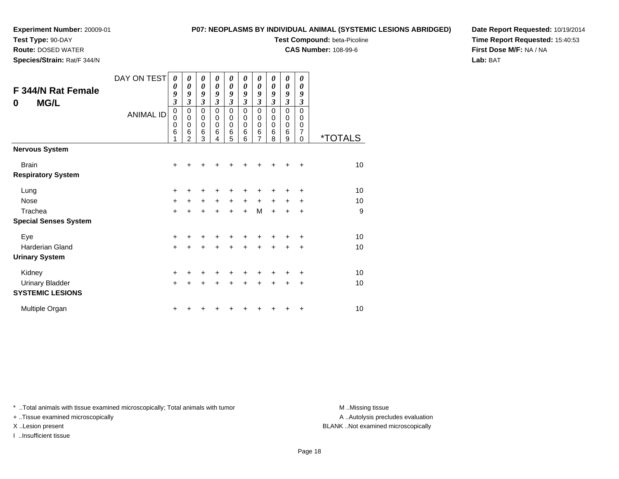**Test Type:** 90-DAY **Route:** DOSED WATER**Species/Strain:** Rat/F 344/N

# **P07: NEOPLASMS BY INDIVIDUAL ANIMAL (SYSTEMIC LESIONS ABRIDGED)**

**Test Compound:** beta-Picoline

**CAS Number:** 108-99-6

**Date Report Requested:** 10/19/2014**Time Report Requested:** 15:40:53**First Dose M/F:** NA / NA**Lab:** BAT

| <b>F 344/N Rat Female</b><br><b>MG/L</b><br>0 | DAY ON TEST<br><b>ANIMAL ID</b> | 0<br>0<br>9<br>$\overline{\mathbf{3}}$<br>0<br>0<br>0<br>6 | 0<br>0<br>9<br>3<br>0<br>$\mathbf 0$<br>$\mathbf 0$<br>6 | $\boldsymbol{\theta}$<br>$\boldsymbol{\theta}$<br>9<br>3<br>0<br>$\mathbf 0$<br>$\mathbf 0$<br>6 | $\boldsymbol{\theta}$<br>0<br>9<br>3<br>0<br>0<br>0<br>6 | $\boldsymbol{\theta}$<br>$\boldsymbol{\theta}$<br>9<br>$\mathfrak{z}$<br>0<br>0<br>$\mathbf 0$<br>6 | 0<br>0<br>9<br>$\mathfrak{z}$<br>0<br>0<br>$\mathbf 0$<br>6 | 0<br>0<br>9<br>$\overline{\mathbf{3}}$<br>0<br>0<br>$\mathbf 0$<br>6<br>7 | 0<br>0<br>9<br>3<br>$\Omega$<br>0<br>$\mathbf 0$<br>6 | 0<br>0<br>9<br>$\mathfrak{z}$<br>0<br>0<br>0<br>6 | 0<br>0<br>9<br>$\boldsymbol{\beta}$<br>$\Omega$<br>0<br>0<br>7 |                       |
|-----------------------------------------------|---------------------------------|------------------------------------------------------------|----------------------------------------------------------|--------------------------------------------------------------------------------------------------|----------------------------------------------------------|-----------------------------------------------------------------------------------------------------|-------------------------------------------------------------|---------------------------------------------------------------------------|-------------------------------------------------------|---------------------------------------------------|----------------------------------------------------------------|-----------------------|
| <b>Nervous System</b>                         |                                 |                                                            | $\overline{2}$                                           | 3                                                                                                | 4                                                        | 5                                                                                                   | 6                                                           |                                                                           | 8                                                     | 9                                                 | $\Omega$                                                       | <i><b>*TOTALS</b></i> |
| <b>Brain</b><br><b>Respiratory System</b>     |                                 | $\ddot{}$                                                  |                                                          | +                                                                                                |                                                          | +                                                                                                   |                                                             | +                                                                         |                                                       | +                                                 | ÷                                                              | 10                    |
| Lung                                          |                                 | +                                                          | +                                                        | +                                                                                                | +                                                        | +                                                                                                   | +                                                           | +                                                                         |                                                       | +                                                 | ٠                                                              | 10                    |
| <b>Nose</b>                                   |                                 | +                                                          | +                                                        | $\ddot{}$                                                                                        | $\ddot{}$                                                | $\ddot{}$                                                                                           | $\ddot{}$                                                   | $\ddot{}$                                                                 | $\ddot{}$                                             | $\ddot{}$                                         | $\ddot{}$                                                      | 10                    |
| Trachea                                       |                                 | $\ddot{}$                                                  | $\ddot{}$                                                | $\ddot{}$                                                                                        | $\ddot{}$                                                | $\ddot{}$                                                                                           | $+$                                                         | M                                                                         | $+$                                                   | $\ddot{}$                                         | $\ddot{}$                                                      | 9                     |
| <b>Special Senses System</b>                  |                                 |                                                            |                                                          |                                                                                                  |                                                          |                                                                                                     |                                                             |                                                                           |                                                       |                                                   |                                                                |                       |
| Eye                                           |                                 | $\ddot{}$                                                  |                                                          |                                                                                                  |                                                          |                                                                                                     |                                                             |                                                                           |                                                       |                                                   | ٠                                                              | 10                    |
| <b>Harderian Gland</b>                        |                                 | $\ddot{}$                                                  | +                                                        | $\ddot{}$                                                                                        | $\ddot{}$                                                | $+$                                                                                                 | $\ddot{}$                                                   | $+$                                                                       | $\ddot{}$                                             | $\ddot{}$                                         | $\ddot{}$                                                      | 10                    |
| <b>Urinary System</b>                         |                                 |                                                            |                                                          |                                                                                                  |                                                          |                                                                                                     |                                                             |                                                                           |                                                       |                                                   |                                                                |                       |
| Kidney                                        |                                 | +                                                          | +                                                        | +                                                                                                | +                                                        | +                                                                                                   | +                                                           | +                                                                         | +                                                     | ٠                                                 | ÷                                                              | 10                    |
| <b>Urinary Bladder</b>                        |                                 | +                                                          | +                                                        | +                                                                                                | +                                                        | +                                                                                                   | ٠                                                           | ٠                                                                         | ٠                                                     | ٠                                                 | +                                                              | 10                    |

\* ..Total animals with tissue examined microscopically; Total animals with tumor **M** ...Missing tissue M ...Missing tissue

 $\mathsf{r}$  +

n  $+$ 

+ ..Tissue examined microscopically

I ..Insufficient tissue

**SYSTEMIC LESIONS**

Multiple Organ

A .. Autolysis precludes evaluation X ..Lesion present BLANK ..Not examined microscopically

<sup>+</sup> <sup>+</sup> <sup>+</sup> <sup>+</sup> <sup>+</sup> <sup>+</sup> <sup>+</sup> <sup>+</sup> <sup>+</sup> <sup>10</sup>

<sup>+</sup> <sup>+</sup> <sup>+</sup> <sup>+</sup> <sup>+</sup> <sup>+</sup> <sup>+</sup> <sup>+</sup> <sup>+</sup> <sup>10</sup>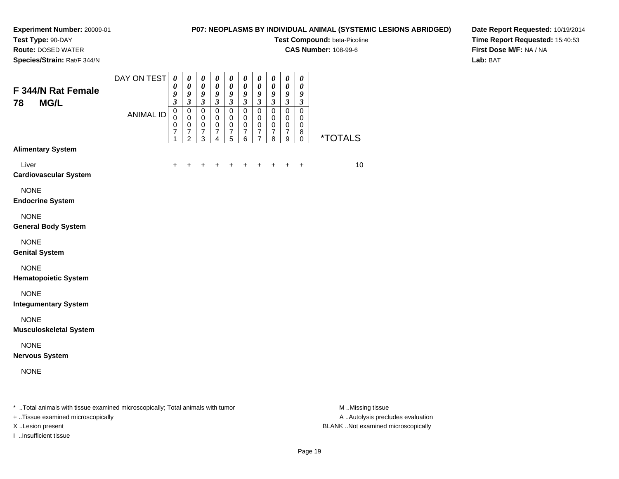**Test Type:** 90-DAY

**Route:** DOSED WATER

**Species/Strain:** Rat/F 344/N

# **P07: NEOPLASMS BY INDIVIDUAL ANIMAL (SYSTEMIC LESIONS ABRIDGED)**

**Test Compound:** beta-Picoline

**CAS Number:** 108-99-6

**Date Report Requested:** 10/19/2014**Time Report Requested:** 15:40:53**First Dose M/F:** NA / NA**Lab:** BAT

| F 344/N Rat Female<br><b>MG/L</b><br>78                                        | DAY ON TEST      | $\boldsymbol{\theta}$<br>$\boldsymbol{\theta}$<br>9<br>$\mathfrak{z}$ | $\boldsymbol{\theta}$<br>$\boldsymbol{\theta}$<br>9<br>$\overline{\mathbf{3}}$ | $\pmb{\theta}$<br>$\boldsymbol{\theta}$<br>9<br>$\overline{\mathbf{3}}$ | 0<br>$\boldsymbol{\theta}$<br>$\boldsymbol{g}$<br>$\mathfrak{z}$ | 0<br>$\pmb{\theta}$<br>$\boldsymbol{9}$<br>$\overline{\mathbf{3}}$        | $\pmb{\theta}$<br>$\boldsymbol{\theta}$<br>$\pmb{9}$<br>$\overline{\mathbf{3}}$ | 0<br>$\boldsymbol{\theta}$<br>9<br>$\mathfrak{z}$                             | 0<br>$\pmb{\theta}$<br>9<br>$\mathfrak{z}$           | $\boldsymbol{\theta}$<br>$\pmb{\theta}$<br>$\boldsymbol{9}$<br>$\overline{\mathbf{3}}$ | $\boldsymbol{\theta}$<br>$\boldsymbol{\theta}$<br>9<br>$\mathfrak{z}$ |                       |
|--------------------------------------------------------------------------------|------------------|-----------------------------------------------------------------------|--------------------------------------------------------------------------------|-------------------------------------------------------------------------|------------------------------------------------------------------|---------------------------------------------------------------------------|---------------------------------------------------------------------------------|-------------------------------------------------------------------------------|------------------------------------------------------|----------------------------------------------------------------------------------------|-----------------------------------------------------------------------|-----------------------|
|                                                                                | <b>ANIMAL ID</b> | $\mathbf 0$<br>$\mathbf 0$<br>$\mathbf 0$<br>$\overline{7}$<br>1      | $\mathbf 0$<br>0<br>$\mathbf 0$<br>$\frac{7}{2}$                               | $\mathbf 0$<br>$\mathbf 0$<br>$\pmb{0}$<br>$\frac{7}{3}$                | $\pmb{0}$<br>$\mathbf 0$<br>$\mathbf 0$<br>$\boldsymbol{7}$<br>4 | $\overline{0}$<br>0<br>$\pmb{0}$<br>$\begin{array}{c} 7 \\ 5 \end{array}$ | $\mathsf 0$<br>0<br>$\pmb{0}$<br>$\begin{array}{c} 7 \\ 6 \end{array}$          | $\mathsf 0$<br>$\mathbf 0$<br>$\pmb{0}$<br>$\boldsymbol{7}$<br>$\overline{7}$ | $\mathsf 0$<br>0<br>$\,0\,$<br>$\boldsymbol{7}$<br>8 | $\overline{0}$<br>0<br>$\pmb{0}$<br>$\boldsymbol{7}$<br>$\boldsymbol{9}$               | $\mathsf 0$<br>$\mathbf 0$<br>$\mathbf 0$<br>8<br>$\pmb{0}$           | <i><b>*TOTALS</b></i> |
| <b>Alimentary System</b>                                                       |                  |                                                                       |                                                                                |                                                                         |                                                                  |                                                                           |                                                                                 |                                                                               |                                                      |                                                                                        |                                                                       |                       |
| Liver<br><b>Cardiovascular System</b>                                          |                  | $\ddot{}$                                                             |                                                                                |                                                                         |                                                                  |                                                                           |                                                                                 |                                                                               |                                                      | $\ddot{}$                                                                              | $\ddot{}$                                                             | 10                    |
| <b>NONE</b><br><b>Endocrine System</b>                                         |                  |                                                                       |                                                                                |                                                                         |                                                                  |                                                                           |                                                                                 |                                                                               |                                                      |                                                                                        |                                                                       |                       |
| <b>NONE</b><br><b>General Body System</b>                                      |                  |                                                                       |                                                                                |                                                                         |                                                                  |                                                                           |                                                                                 |                                                                               |                                                      |                                                                                        |                                                                       |                       |
| <b>NONE</b><br><b>Genital System</b>                                           |                  |                                                                       |                                                                                |                                                                         |                                                                  |                                                                           |                                                                                 |                                                                               |                                                      |                                                                                        |                                                                       |                       |
| <b>NONE</b><br><b>Hematopoietic System</b>                                     |                  |                                                                       |                                                                                |                                                                         |                                                                  |                                                                           |                                                                                 |                                                                               |                                                      |                                                                                        |                                                                       |                       |
| <b>NONE</b><br><b>Integumentary System</b>                                     |                  |                                                                       |                                                                                |                                                                         |                                                                  |                                                                           |                                                                                 |                                                                               |                                                      |                                                                                        |                                                                       |                       |
| <b>NONE</b><br><b>Musculoskeletal System</b>                                   |                  |                                                                       |                                                                                |                                                                         |                                                                  |                                                                           |                                                                                 |                                                                               |                                                      |                                                                                        |                                                                       |                       |
| <b>NONE</b><br><b>Nervous System</b>                                           |                  |                                                                       |                                                                                |                                                                         |                                                                  |                                                                           |                                                                                 |                                                                               |                                                      |                                                                                        |                                                                       |                       |
| <b>NONE</b>                                                                    |                  |                                                                       |                                                                                |                                                                         |                                                                  |                                                                           |                                                                                 |                                                                               |                                                      |                                                                                        |                                                                       |                       |
| * Total animals with tissue examined microscopically; Total animals with tumor |                  |                                                                       |                                                                                |                                                                         |                                                                  |                                                                           |                                                                                 |                                                                               |                                                      |                                                                                        |                                                                       | M Missing tissue      |

+ ..Tissue examined microscopically

I ..Insufficient tissue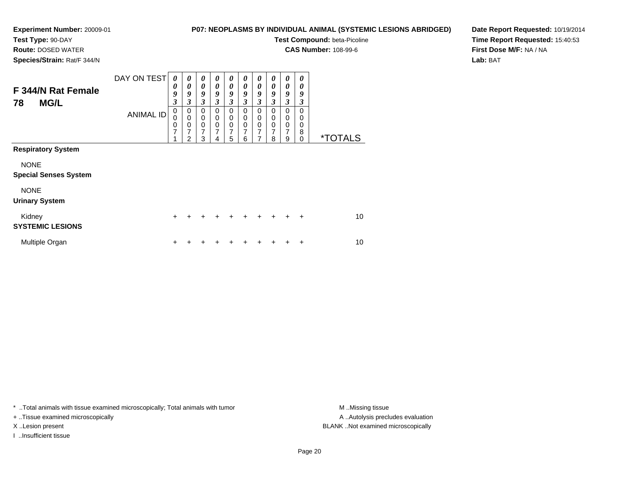**Route:** DOSED WATER**Species/Strain:** Rat/F 344/N

# **P07: NEOPLASMS BY INDIVIDUAL ANIMAL (SYSTEMIC LESIONS ABRIDGED)**

**Test Compound:** beta-Picoline

**CAS Number:** 108-99-6

**Date Report Requested:** 10/19/2014**Time Report Requested:** 15:40:53**First Dose M/F:** NA / NA**Lab:** BAT

| F 344/N Rat Female<br><b>MG/L</b><br>78     | DAY ON TEST      | 0<br>0<br>9<br>3              | 0<br>0<br>9<br>3              | 0<br>0<br>9<br>3                    | $\boldsymbol{\theta}$<br>0<br>9<br>3 | 0<br>0<br>9<br>3                    | 0<br>0<br>9<br>$\boldsymbol{\beta}$ | 0<br>$\boldsymbol{\theta}$<br>9<br>$\boldsymbol{\beta}$ | 0<br>$\boldsymbol{\theta}$<br>9<br>3 | 0<br>0<br>9<br>$\mathfrak{z}$ | 0<br>0<br>9<br>3             |                       |
|---------------------------------------------|------------------|-------------------------------|-------------------------------|-------------------------------------|--------------------------------------|-------------------------------------|-------------------------------------|---------------------------------------------------------|--------------------------------------|-------------------------------|------------------------------|-----------------------|
|                                             | <b>ANIMAL ID</b> | 0<br>0<br>0<br>$\overline{7}$ | 0<br>$\pmb{0}$<br>0<br>7<br>2 | 0<br>$\pmb{0}$<br>$\,0\,$<br>7<br>3 | $\Omega$<br>0<br>0<br>7              | 0<br>$\pmb{0}$<br>$\,0\,$<br>7<br>5 | $\Omega$<br>0<br>0<br>7<br>6        | 0<br>0<br>$\pmb{0}$<br>7<br>7                           | 0<br>0<br>0<br>7<br>8                | 0<br>0<br>$\pmb{0}$<br>7<br>9 | $\Omega$<br>0<br>0<br>8<br>0 | <i><b>*TOTALS</b></i> |
| <b>Respiratory System</b>                   |                  |                               |                               |                                     |                                      |                                     |                                     |                                                         |                                      |                               |                              |                       |
| <b>NONE</b><br><b>Special Senses System</b> |                  |                               |                               |                                     |                                      |                                     |                                     |                                                         |                                      |                               |                              |                       |
| <b>NONE</b><br><b>Urinary System</b>        |                  |                               |                               |                                     |                                      |                                     |                                     |                                                         |                                      |                               |                              |                       |
| Kidney<br><b>SYSTEMIC LESIONS</b>           |                  | $\pm$                         |                               |                                     |                                      | +                                   | ÷                                   | ÷                                                       |                                      |                               | $\div$                       | 10                    |
| Multiple Organ                              |                  | ٠                             |                               |                                     |                                      |                                     |                                     |                                                         |                                      |                               |                              | 10                    |

\* ..Total animals with tissue examined microscopically; Total animals with tumor **M** . Missing tissue M ..Missing tissue

+ ..Tissue examined microscopically

I ..Insufficient tissue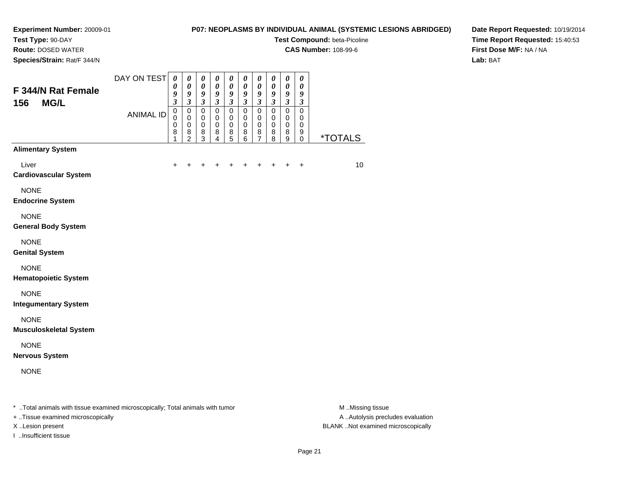**Route:** DOSED WATER

# **P07: NEOPLASMS BY INDIVIDUAL ANIMAL (SYSTEMIC LESIONS ABRIDGED)**

**Test Compound:** beta-Picoline

**CAS Number:** 108-99-6

**Date Report Requested:** 10/19/2014**Time Report Requested:** 15:40:53**First Dose M/F:** NA / NA**Lab:** BAT

| Species/Strain: Rat/F 344/N                  |                                                                                                                 |                                                                       |                                                                             |                                                                       |                                                                                            |                                                                                      |                                                          |                                                                                      |                                                                       |                                                         |                                           |                       |
|----------------------------------------------|-----------------------------------------------------------------------------------------------------------------|-----------------------------------------------------------------------|-----------------------------------------------------------------------------|-----------------------------------------------------------------------|--------------------------------------------------------------------------------------------|--------------------------------------------------------------------------------------|----------------------------------------------------------|--------------------------------------------------------------------------------------|-----------------------------------------------------------------------|---------------------------------------------------------|-------------------------------------------|-----------------------|
| F 344/N Rat Female<br><b>MG/L</b><br>156     | DAY ON TEST                                                                                                     | $\boldsymbol{\theta}$<br>$\boldsymbol{\theta}$<br>9<br>$\mathfrak{z}$ | $\boldsymbol{\theta}$<br>$\boldsymbol{\theta}$<br>9<br>$\boldsymbol{\beta}$ | $\boldsymbol{\theta}$<br>$\boldsymbol{\theta}$<br>9<br>$\mathfrak{z}$ | $\boldsymbol{\theta}$<br>$\boldsymbol{\theta}$<br>$\boldsymbol{g}$<br>$\boldsymbol{\beta}$ | $\boldsymbol{\theta}$<br>$\boldsymbol{\theta}$<br>$\boldsymbol{g}$<br>$\mathfrak{z}$ | $\boldsymbol{\theta}$<br>0<br>9<br>$\boldsymbol{\beta}$  | $\boldsymbol{\theta}$<br>$\boldsymbol{\theta}$<br>$\boldsymbol{g}$<br>$\mathfrak{z}$ | $\boldsymbol{\theta}$<br>$\boldsymbol{\theta}$<br>9<br>$\mathfrak{z}$ | 0<br>$\pmb{\theta}$<br>9<br>$\mathfrak{z}$              | 0<br>0<br>9<br>$\boldsymbol{\beta}$       |                       |
|                                              | <b>ANIMAL ID</b>                                                                                                | $\mathbf 0$<br>$\mathbf 0$<br>0<br>8<br>1                             | $\mathbf 0$<br>$\mathbf 0$<br>$\mathbf 0$<br>$\bf8$<br>$\overline{2}$       | $\mathbf 0$<br>$\mathbf 0$<br>$\mathbf 0$<br>$\bf8$<br>3              | $\mathbf 0$<br>$\mathbf 0$<br>$\pmb{0}$<br>$\bf8$<br>4                                     | $\mathbf 0$<br>$\mathbf 0$<br>$\mathbf 0$<br>8<br>5                                  | $\mathbf 0$<br>$\mathbf 0$<br>$\mathbf 0$<br>$\bf8$<br>6 | $\mathbf 0$<br>$\mathbf 0$<br>$\mathbf 0$<br>$\bf8$<br>7                             | $\pmb{0}$<br>$\mathbf 0$<br>$\pmb{0}$<br>$\bf8$<br>8                  | $\mathsf 0$<br>$\mathbf 0$<br>$\pmb{0}$<br>$\bf 8$<br>9 | $\mathbf 0$<br>0<br>0<br>9<br>$\mathbf 0$ | <i><b>*TOTALS</b></i> |
| <b>Alimentary System</b>                     |                                                                                                                 |                                                                       |                                                                             |                                                                       |                                                                                            |                                                                                      |                                                          |                                                                                      |                                                                       |                                                         |                                           |                       |
| Liver<br><b>Cardiovascular System</b>        |                                                                                                                 |                                                                       |                                                                             |                                                                       |                                                                                            |                                                                                      |                                                          |                                                                                      |                                                                       |                                                         | +                                         | 10                    |
| <b>NONE</b><br><b>Endocrine System</b>       |                                                                                                                 |                                                                       |                                                                             |                                                                       |                                                                                            |                                                                                      |                                                          |                                                                                      |                                                                       |                                                         |                                           |                       |
| <b>NONE</b><br><b>General Body System</b>    |                                                                                                                 |                                                                       |                                                                             |                                                                       |                                                                                            |                                                                                      |                                                          |                                                                                      |                                                                       |                                                         |                                           |                       |
| <b>NONE</b><br><b>Genital System</b>         |                                                                                                                 |                                                                       |                                                                             |                                                                       |                                                                                            |                                                                                      |                                                          |                                                                                      |                                                                       |                                                         |                                           |                       |
| <b>NONE</b><br><b>Hematopoietic System</b>   |                                                                                                                 |                                                                       |                                                                             |                                                                       |                                                                                            |                                                                                      |                                                          |                                                                                      |                                                                       |                                                         |                                           |                       |
| <b>NONE</b><br><b>Integumentary System</b>   |                                                                                                                 |                                                                       |                                                                             |                                                                       |                                                                                            |                                                                                      |                                                          |                                                                                      |                                                                       |                                                         |                                           |                       |
| <b>NONE</b><br><b>Musculoskeletal System</b> |                                                                                                                 |                                                                       |                                                                             |                                                                       |                                                                                            |                                                                                      |                                                          |                                                                                      |                                                                       |                                                         |                                           |                       |
| <b>NONE</b><br><b>Nervous System</b>         |                                                                                                                 |                                                                       |                                                                             |                                                                       |                                                                                            |                                                                                      |                                                          |                                                                                      |                                                                       |                                                         |                                           |                       |
| <b>NONE</b>                                  |                                                                                                                 |                                                                       |                                                                             |                                                                       |                                                                                            |                                                                                      |                                                          |                                                                                      |                                                                       |                                                         |                                           |                       |
| - 下にもとし とうきょうしょう いきはい ピット                    | the contract of the state of the contract that the state of the contract of the contract of the contract of the |                                                                       |                                                                             |                                                                       |                                                                                            |                                                                                      |                                                          |                                                                                      |                                                                       |                                                         |                                           | <b></b>               |

..Total animals with tissue examined microscopically; Total animals with tumor M ..Missing tissue M ..Missing tissue

+ ..Tissue examined microscopically

I ..Insufficient tissue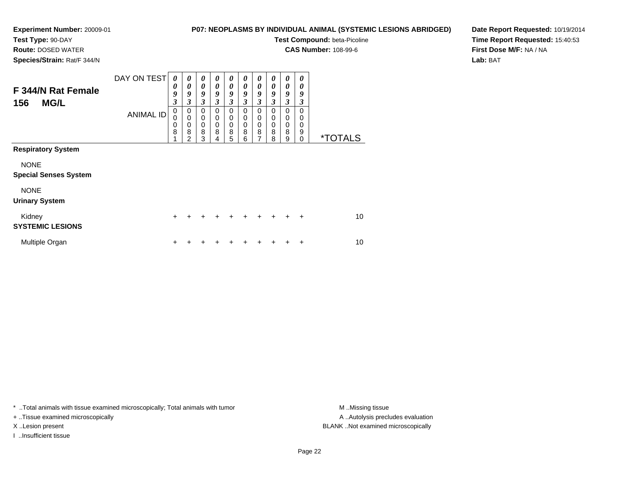**Route:** DOSED WATER

**Species/Strain:** Rat/F 344/N

**P07: NEOPLASMS BY INDIVIDUAL ANIMAL (SYSTEMIC LESIONS ABRIDGED)**

**Test Compound:** beta-Picoline

**CAS Number:** 108-99-6

**Date Report Requested:** 10/19/2014**Time Report Requested:** 15:40:53**First Dose M/F:** NA / NA**Lab:** BAT

| F 344/N Rat Female<br><b>MG/L</b><br>156                             | DAY ON TEST<br><b>ANIMAL ID</b> | 0<br>0<br>9<br>3<br>0<br>0<br>0<br>8 | $\boldsymbol{\theta}$<br>0<br>9<br>3<br>0<br>$\mathbf 0$<br>$\mathbf 0$<br>8<br>2 | $\boldsymbol{\theta}$<br>$\theta$<br>9<br>$\mathfrak{z}$<br>0<br>0<br>$\mathbf 0$<br>8<br>3 | 0<br>$\theta$<br>9<br>$\mathfrak{z}$<br>0<br>$\mathbf 0$<br>$\mathbf 0$<br>8<br>4 | 0<br>$\boldsymbol{\theta}$<br>9<br>3<br>0<br>0<br>$\mathbf 0$<br>8<br>5 | 0<br>0<br>9<br>$\overline{\mathbf{3}}$<br>$\Omega$<br>0<br>0<br>8<br>6 | 0<br>0<br>9<br>3<br>$\Omega$<br>0<br>0<br>8<br>$\overline{7}$ | 0<br>0<br>9<br>3<br>$\Omega$<br>0<br>0<br>8<br>8 | $\boldsymbol{\theta}$<br>0<br>9<br>3<br>0<br>0<br>0<br>8<br>9 | 0<br>0<br>9<br>$\boldsymbol{\beta}$<br>0<br>0<br>0<br>9<br>$\Omega$ | <i><b>*TOTALS</b></i> |
|----------------------------------------------------------------------|---------------------------------|--------------------------------------|-----------------------------------------------------------------------------------|---------------------------------------------------------------------------------------------|-----------------------------------------------------------------------------------|-------------------------------------------------------------------------|------------------------------------------------------------------------|---------------------------------------------------------------|--------------------------------------------------|---------------------------------------------------------------|---------------------------------------------------------------------|-----------------------|
| <b>Respiratory System</b><br><b>NONE</b>                             |                                 |                                      |                                                                                   |                                                                                             |                                                                                   |                                                                         |                                                                        |                                                               |                                                  |                                                               |                                                                     |                       |
| <b>Special Senses System</b><br><b>NONE</b><br><b>Urinary System</b> |                                 |                                      |                                                                                   |                                                                                             |                                                                                   |                                                                         |                                                                        |                                                               |                                                  |                                                               |                                                                     |                       |
| Kidney<br><b>SYSTEMIC LESIONS</b>                                    |                                 | $\ddot{}$                            | +                                                                                 | +                                                                                           | $\div$                                                                            | $\ddot{}$                                                               | $\div$                                                                 | $\ddot{}$                                                     | $\div$                                           | ÷                                                             | $\div$                                                              | 10                    |
| Multiple Organ                                                       |                                 | ٠                                    |                                                                                   |                                                                                             |                                                                                   |                                                                         |                                                                        |                                                               |                                                  |                                                               | ÷                                                                   | 10                    |

\* ..Total animals with tissue examined microscopically; Total animals with tumor **M** . Missing tissue M ..Missing tissue

+ ..Tissue examined microscopically

I ..Insufficient tissue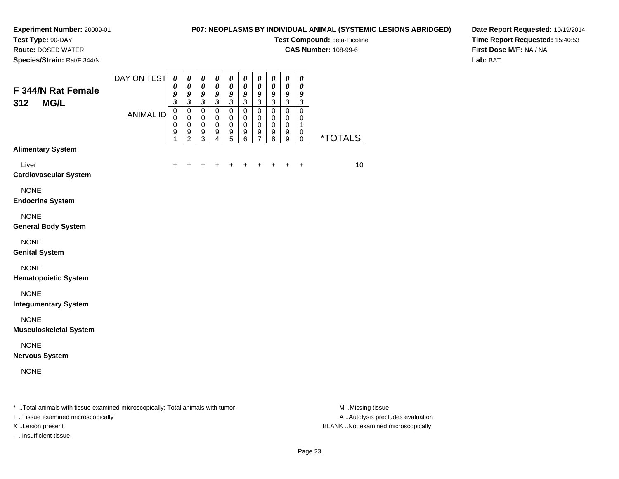# **P07: NEOPLASMS BY INDIVIDUAL ANIMAL (SYSTEMIC LESIONS ABRIDGED)**

**Test Compound:** beta-Picoline

**CAS Number:** 108-99-6

**Date Report Requested:** 10/19/2014**Time Report Requested:** 15:40:53**First Dose M/F:** NA / NA**Lab:** BAT

**Route:** DOSED WATER

**Species/Strain:** Rat/F 344/N

| Species/Strain: Rat/F 344/N                  |                                                                                                                                                                                                                                  |                                                                       |                                                                        |                                                                               |                                                   |                                                                  |                                                          |                                                          |                                                                    |                                                                        |                                                                       |                         |
|----------------------------------------------|----------------------------------------------------------------------------------------------------------------------------------------------------------------------------------------------------------------------------------|-----------------------------------------------------------------------|------------------------------------------------------------------------|-------------------------------------------------------------------------------|---------------------------------------------------|------------------------------------------------------------------|----------------------------------------------------------|----------------------------------------------------------|--------------------------------------------------------------------|------------------------------------------------------------------------|-----------------------------------------------------------------------|-------------------------|
| F 344/N Rat Female<br><b>MG/L</b><br>312     | DAY ON TEST                                                                                                                                                                                                                      | $\boldsymbol{\theta}$<br>$\boldsymbol{\theta}$<br>9<br>$\mathfrak{z}$ | $\pmb{\theta}$<br>$\pmb{\theta}$<br>$\boldsymbol{g}$<br>$\mathfrak{z}$ | $\pmb{\theta}$<br>$\boldsymbol{\theta}$<br>$\boldsymbol{g}$<br>$\mathfrak{z}$ | 0<br>$\boldsymbol{\theta}$<br>9<br>$\mathfrak{z}$ | 0<br>$\pmb{\theta}$<br>$\boldsymbol{g}$<br>$\mathfrak{z}$        | $\pmb{\theta}$<br>$\pmb{\theta}$<br>9<br>$\mathfrak{z}$  | 0<br>$\pmb{\theta}$<br>$\pmb{9}$<br>$\mathfrak{z}$       | 0<br>$\pmb{\theta}$<br>9<br>$\mathfrak{z}$                         | $\pmb{\theta}$<br>$\pmb{\theta}$<br>$\boldsymbol{9}$<br>$\mathfrak{z}$ | $\boldsymbol{\theta}$<br>$\boldsymbol{\theta}$<br>9<br>$\mathfrak{z}$ |                         |
|                                              | <b>ANIMAL ID</b>                                                                                                                                                                                                                 | $\pmb{0}$<br>$\Omega$<br>$\mathbf 0$<br>9<br>1                        | $\pmb{0}$<br>$\mathbf 0$<br>$\pmb{0}$<br>9<br>$\overline{2}$           | $\pmb{0}$<br>$\mathbf 0$<br>$\mathbf 0$<br>9<br>3                             | $\pmb{0}$<br>0<br>$\mathbf 0$<br>9<br>4           | $\pmb{0}$<br>$\mathbf 0$<br>$\mathbf 0$<br>$\boldsymbol{9}$<br>5 | $\mathbf 0$<br>0<br>$\mathbf 0$<br>$\boldsymbol{9}$<br>6 | $\mathbf 0$<br>0<br>$\mathbf 0$<br>$\boldsymbol{9}$<br>7 | $\mathbf 0$<br>$\mathbf 0$<br>$\mathbf 0$<br>$\boldsymbol{9}$<br>8 | $\mathsf 0$<br>$\mathbf 0$<br>$\mathbf 0$<br>9<br>9                    | $\mathbf 0$<br>0<br>1<br>0<br>0                                       | <i><b>*TOTALS</b></i>   |
| <b>Alimentary System</b>                     |                                                                                                                                                                                                                                  |                                                                       |                                                                        |                                                                               |                                                   |                                                                  |                                                          |                                                          |                                                                    |                                                                        |                                                                       |                         |
| Liver<br><b>Cardiovascular System</b>        |                                                                                                                                                                                                                                  | ٠                                                                     |                                                                        |                                                                               |                                                   |                                                                  |                                                          |                                                          |                                                                    |                                                                        | +                                                                     | 10                      |
| <b>NONE</b><br><b>Endocrine System</b>       |                                                                                                                                                                                                                                  |                                                                       |                                                                        |                                                                               |                                                   |                                                                  |                                                          |                                                          |                                                                    |                                                                        |                                                                       |                         |
| <b>NONE</b><br><b>General Body System</b>    |                                                                                                                                                                                                                                  |                                                                       |                                                                        |                                                                               |                                                   |                                                                  |                                                          |                                                          |                                                                    |                                                                        |                                                                       |                         |
| <b>NONE</b><br><b>Genital System</b>         |                                                                                                                                                                                                                                  |                                                                       |                                                                        |                                                                               |                                                   |                                                                  |                                                          |                                                          |                                                                    |                                                                        |                                                                       |                         |
| <b>NONE</b><br><b>Hematopoietic System</b>   |                                                                                                                                                                                                                                  |                                                                       |                                                                        |                                                                               |                                                   |                                                                  |                                                          |                                                          |                                                                    |                                                                        |                                                                       |                         |
| <b>NONE</b><br><b>Integumentary System</b>   |                                                                                                                                                                                                                                  |                                                                       |                                                                        |                                                                               |                                                   |                                                                  |                                                          |                                                          |                                                                    |                                                                        |                                                                       |                         |
| <b>NONE</b><br><b>Musculoskeletal System</b> |                                                                                                                                                                                                                                  |                                                                       |                                                                        |                                                                               |                                                   |                                                                  |                                                          |                                                          |                                                                    |                                                                        |                                                                       |                         |
| <b>NONE</b><br><b>Nervous System</b>         |                                                                                                                                                                                                                                  |                                                                       |                                                                        |                                                                               |                                                   |                                                                  |                                                          |                                                          |                                                                    |                                                                        |                                                                       |                         |
| <b>NONE</b>                                  |                                                                                                                                                                                                                                  |                                                                       |                                                                        |                                                                               |                                                   |                                                                  |                                                          |                                                          |                                                                    |                                                                        |                                                                       |                         |
| エーティア・レース しゅうしょう こうかしょうしょく                   | . The contract of the contract of the contract $\mathbf{r}$ is a contract of the contract of the contract of the contract of the contract of the contract of the contract of the contract of the contract of the contract of the |                                                                       |                                                                        |                                                                               |                                                   |                                                                  |                                                          |                                                          |                                                                    |                                                                        |                                                                       | <b>A</b> A <sup>2</sup> |

..Total animals with tissue examined microscopically; Total animals with tumor M ..Missing tissue M ..Missing tissue

+ ..Tissue examined microscopically

I ..Insufficient tissue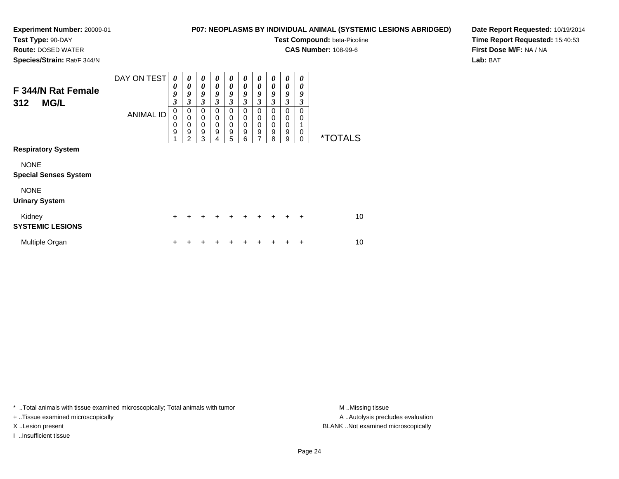**Test Type:** 90-DAY

**Route:** DOSED WATER

**Species/Strain:** Rat/F 344/N

# **P07: NEOPLASMS BY INDIVIDUAL ANIMAL (SYSTEMIC LESIONS ABRIDGED)**

**Test Compound:** beta-Picoline

**CAS Number:** 108-99-6

**Date Report Requested:** 10/19/2014**Time Report Requested:** 15:40:53**First Dose M/F:** NA / NA**Lab:** BAT

| F 344/N Rat Female<br><b>MG/L</b><br>312    | DAY ON TEST<br><b>ANIMAL ID</b> | 0<br>0<br>9<br>3<br>0<br>0 | $\boldsymbol{\theta}$<br>0<br>9<br>3<br>0<br>$\mathbf 0$ | 0<br>0<br>9<br>$\mathfrak{z}$<br>$\mathbf 0$<br>$\mathbf 0$ | $\boldsymbol{\theta}$<br>0<br>9<br>3<br>$\Omega$<br>$\mathbf 0$ | $\boldsymbol{\theta}$<br>$\boldsymbol{\theta}$<br>9<br>$\mathfrak{z}$<br>0<br>0 | 0<br>0<br>9<br>3<br>0<br>0 | 0<br>0<br>9<br>3<br>$\Omega$<br>0       | 0<br>0<br>9<br>3<br>0<br>0 | 0<br>0<br>9<br>3<br>0<br>0 | 0<br>0<br>9<br>3<br>0<br>0 |                       |
|---------------------------------------------|---------------------------------|----------------------------|----------------------------------------------------------|-------------------------------------------------------------|-----------------------------------------------------------------|---------------------------------------------------------------------------------|----------------------------|-----------------------------------------|----------------------------|----------------------------|----------------------------|-----------------------|
|                                             |                                 | 0<br>9                     | 0<br>9<br>$\overline{2}$                                 | $\mathbf 0$<br>$\boldsymbol{9}$<br>3                        | 0<br>9<br>4                                                     | $\pmb{0}$<br>9<br>5                                                             | 0<br>9<br>6                | 0<br>$\boldsymbol{9}$<br>$\overline{7}$ | 0<br>9<br>8                | 0<br>$\boldsymbol{9}$<br>9 | 0<br>$\Omega$              | <i><b>*TOTALS</b></i> |
| <b>Respiratory System</b>                   |                                 |                            |                                                          |                                                             |                                                                 |                                                                                 |                            |                                         |                            |                            |                            |                       |
| <b>NONE</b><br><b>Special Senses System</b> |                                 |                            |                                                          |                                                             |                                                                 |                                                                                 |                            |                                         |                            |                            |                            |                       |
| <b>NONE</b><br><b>Urinary System</b>        |                                 |                            |                                                          |                                                             |                                                                 |                                                                                 |                            |                                         |                            |                            |                            |                       |
| Kidney<br><b>SYSTEMIC LESIONS</b>           |                                 | $+$                        | +                                                        | $\ddot{}$                                                   | $\div$                                                          | $\ddot{}$                                                                       | $\ddot{}$                  | $\ddot{}$                               | $\ddot{}$                  | ÷                          | $\ddot{}$                  | 10                    |
| Multiple Organ                              |                                 | ٠                          |                                                          |                                                             |                                                                 |                                                                                 |                            |                                         |                            |                            | ٠                          | 10                    |

\* ..Total animals with tissue examined microscopically; Total animals with tumor **M** . Missing tissue M ..Missing tissue

+ ..Tissue examined microscopically

I ..Insufficient tissue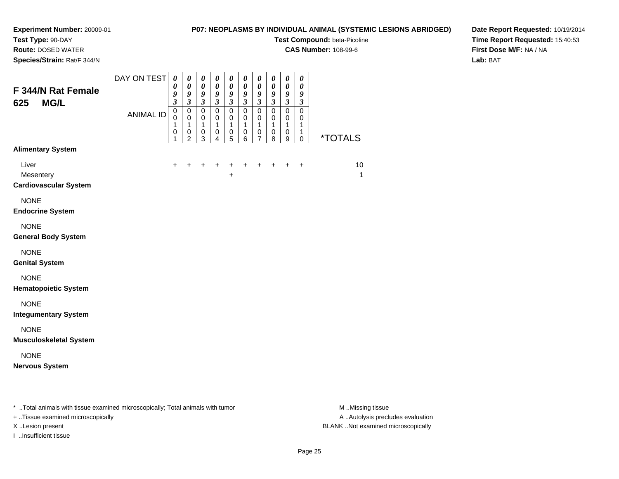# **P07: NEOPLASMS BY INDIVIDUAL ANIMAL (SYSTEMIC LESIONS ABRIDGED)**

┯ ┯  $\overline{\phantom{a}}$  $\overline{\phantom{a}}$ 

**Test Compound:** beta-Picoline

┓ ┯

**CAS Number:** 108-99-6

**Species/Strain:** Rat/F 344/N

**Route:** DOSED WATER

# **Date Report Requested:** 10/19/2014**Time Report Requested:** 15:40:53**First Dose M/F:** NA / NA**Lab:** BAT

| F 344/N Rat Female<br><b>MG/L</b><br>625           | DAY ON TEST<br><b>ANIMAL ID</b> | $\boldsymbol{\theta}$<br>0<br>9<br>$\mathfrak{z}$<br>$\mathbf 0$<br>$\mathbf 0$<br>1<br>$\pmb{0}$<br>1 | 0<br>0<br>9<br>$\overline{\mathbf{3}}$<br>$\pmb{0}$<br>$\mathbf 0$<br>1<br>0<br>$\overline{2}$ | 0<br>$\pmb{\theta}$<br>9<br>$\overline{\mathbf{3}}$<br>$\mathbf 0$<br>$\mathbf 0$<br>1<br>0<br>3 | 0<br>$\boldsymbol{\theta}$<br>9<br>$\overline{\mathbf{3}}$<br>$\pmb{0}$<br>$\Omega$<br>1<br>0<br>4 | 0<br>$\boldsymbol{\theta}$<br>9<br>$\overline{\mathbf{3}}$<br>$\pmb{0}$<br>$\mathbf 0$<br>1<br>0<br>5 | 0<br>$\boldsymbol{\theta}$<br>9<br>$\mathfrak{z}$<br>$\mathsf 0$<br>$\mathbf 0$<br>$\overline{1}$<br>0<br>6 | $\boldsymbol{\theta}$<br>$\boldsymbol{\theta}$<br>9<br>$\mathfrak{z}$<br>$\pmb{0}$<br>$\mathbf 0$<br>$\mathbf{1}$<br>$\pmb{0}$<br>$\overline{7}$ | $\boldsymbol{\theta}$<br>$\boldsymbol{\theta}$<br>9<br>$\mathfrak{z}$<br>$\pmb{0}$<br>$\mathbf 0$<br>$\mathbf{1}$<br>$\mathbf 0$<br>8 | $\boldsymbol{\theta}$<br>$\pmb{\theta}$<br>$\frac{9}{3}$<br>$\pmb{0}$<br>$\mathbf 0$<br>1<br>$\,0\,$<br>9 | 0<br>$\boldsymbol{\theta}$<br>9<br>$\mathfrak{z}$<br>$\pmb{0}$<br>$\mathbf 0$<br>1<br>1<br>$\pmb{0}$ | <i><b>*TOTALS</b></i> |
|----------------------------------------------------|---------------------------------|--------------------------------------------------------------------------------------------------------|------------------------------------------------------------------------------------------------|--------------------------------------------------------------------------------------------------|----------------------------------------------------------------------------------------------------|-------------------------------------------------------------------------------------------------------|-------------------------------------------------------------------------------------------------------------|--------------------------------------------------------------------------------------------------------------------------------------------------|---------------------------------------------------------------------------------------------------------------------------------------|-----------------------------------------------------------------------------------------------------------|------------------------------------------------------------------------------------------------------|-----------------------|
| <b>Alimentary System</b>                           |                                 |                                                                                                        |                                                                                                |                                                                                                  |                                                                                                    |                                                                                                       |                                                                                                             |                                                                                                                                                  |                                                                                                                                       |                                                                                                           |                                                                                                      |                       |
| Liver<br>Mesentery<br><b>Cardiovascular System</b> |                                 | $+$                                                                                                    | +                                                                                              | ÷                                                                                                | $\ddot{}$                                                                                          | +                                                                                                     | +                                                                                                           | +                                                                                                                                                | +                                                                                                                                     | +                                                                                                         | $\ddot{}$                                                                                            | 10<br>1               |
| <b>NONE</b><br><b>Endocrine System</b>             |                                 |                                                                                                        |                                                                                                |                                                                                                  |                                                                                                    |                                                                                                       |                                                                                                             |                                                                                                                                                  |                                                                                                                                       |                                                                                                           |                                                                                                      |                       |
| <b>NONE</b><br><b>General Body System</b>          |                                 |                                                                                                        |                                                                                                |                                                                                                  |                                                                                                    |                                                                                                       |                                                                                                             |                                                                                                                                                  |                                                                                                                                       |                                                                                                           |                                                                                                      |                       |
| <b>NONE</b><br><b>Genital System</b>               |                                 |                                                                                                        |                                                                                                |                                                                                                  |                                                                                                    |                                                                                                       |                                                                                                             |                                                                                                                                                  |                                                                                                                                       |                                                                                                           |                                                                                                      |                       |
| <b>NONE</b><br><b>Hematopoietic System</b>         |                                 |                                                                                                        |                                                                                                |                                                                                                  |                                                                                                    |                                                                                                       |                                                                                                             |                                                                                                                                                  |                                                                                                                                       |                                                                                                           |                                                                                                      |                       |
| <b>NONE</b><br><b>Integumentary System</b>         |                                 |                                                                                                        |                                                                                                |                                                                                                  |                                                                                                    |                                                                                                       |                                                                                                             |                                                                                                                                                  |                                                                                                                                       |                                                                                                           |                                                                                                      |                       |
| <b>NONE</b><br><b>Musculoskeletal System</b>       |                                 |                                                                                                        |                                                                                                |                                                                                                  |                                                                                                    |                                                                                                       |                                                                                                             |                                                                                                                                                  |                                                                                                                                       |                                                                                                           |                                                                                                      |                       |
| <b>NONE</b><br><b>Nervous System</b>               |                                 |                                                                                                        |                                                                                                |                                                                                                  |                                                                                                    |                                                                                                       |                                                                                                             |                                                                                                                                                  |                                                                                                                                       |                                                                                                           |                                                                                                      |                       |
|                                                    |                                 |                                                                                                        |                                                                                                |                                                                                                  |                                                                                                    |                                                                                                       |                                                                                                             |                                                                                                                                                  |                                                                                                                                       |                                                                                                           |                                                                                                      |                       |

\* ..Total animals with tissue examined microscopically; Total animals with tumor **M** . Missing tissue M ..Missing tissue

+ ..Tissue examined microscopically

I ..Insufficient tissue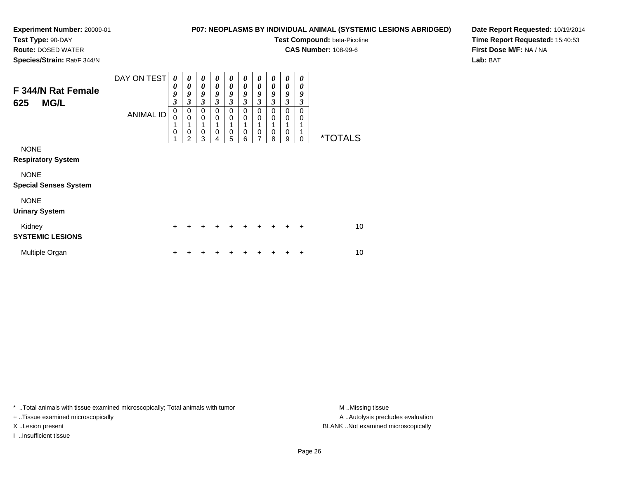# **Test Type:** 90-DAY

**Route:** DOSED WATER

**Species/Strain:** Rat/F 344/N

# **P07: NEOPLASMS BY INDIVIDUAL ANIMAL (SYSTEMIC LESIONS ABRIDGED)**

**Test Compound:** beta-Picoline

**CAS Number:** 108-99-6

**Date Report Requested:** 10/19/2014**Time Report Requested:** 15:40:53**First Dose M/F:** NA / NA**Lab:** BAT

| F 344/N Rat Female<br><b>MG/L</b><br>625                | DAY ON TEST<br><b>ANIMAL ID</b> | 0<br>0<br>9<br>$\overline{\mathbf{3}}$<br>$\mathbf 0$<br>$\Omega$<br>1<br>$\mathbf 0$<br>1 | $\boldsymbol{\theta}$<br>0<br>9<br>3<br>0<br>$\mathbf 0$<br>1<br>0<br>$\mathcal{P}$ | 0<br>0<br>9<br>3<br>$\Omega$<br>$\Omega$<br>1<br>0<br>3 | 0<br>0<br>9<br>$\overline{\mathbf{3}}$<br>0<br>$\mathbf 0$<br>0 | 0<br>$\boldsymbol{\theta}$<br>9<br>$\overline{\mathbf{3}}$<br>$\Omega$<br>$\mathbf 0$<br>0 | 0<br>0<br>9<br>3<br>0<br>$\mathbf 0$<br>0 | 0<br>0<br>9<br>$\mathfrak{z}$<br>$\Omega$<br>$\mathbf 0$<br>1<br>$\mathbf 0$<br>$\overline{7}$ | 0<br>0<br>9<br>3<br>0<br>$\mathbf 0$<br>1<br>0 | $\boldsymbol{\theta}$<br>0<br>9<br>$\mathfrak{z}$<br>$\mathbf 0$<br>$\mathbf 0$<br>1<br>$\mathbf 0$ | 0<br>0<br>9<br>3<br>$\Omega$<br>0<br>1<br>1 | <i><b>*TOTALS</b></i> |
|---------------------------------------------------------|---------------------------------|--------------------------------------------------------------------------------------------|-------------------------------------------------------------------------------------|---------------------------------------------------------|-----------------------------------------------------------------|--------------------------------------------------------------------------------------------|-------------------------------------------|------------------------------------------------------------------------------------------------|------------------------------------------------|-----------------------------------------------------------------------------------------------------|---------------------------------------------|-----------------------|
| <b>NONE</b><br><b>Respiratory System</b><br><b>NONE</b> |                                 |                                                                                            |                                                                                     |                                                         | 4                                                               | 5                                                                                          | 6                                         |                                                                                                | 8                                              | 9                                                                                                   | $\mathbf 0$                                 |                       |
| <b>Special Senses System</b><br><b>NONE</b>             |                                 |                                                                                            |                                                                                     |                                                         |                                                                 |                                                                                            |                                           |                                                                                                |                                                |                                                                                                     |                                             |                       |
| <b>Urinary System</b>                                   |                                 |                                                                                            |                                                                                     |                                                         |                                                                 |                                                                                            |                                           |                                                                                                |                                                |                                                                                                     |                                             |                       |
| Kidney<br><b>SYSTEMIC LESIONS</b>                       |                                 | $\ddot{}$                                                                                  | +                                                                                   | ÷                                                       | ÷                                                               | ÷                                                                                          | ÷                                         | $\ddot{}$                                                                                      | $\ddot{}$                                      | $\div$                                                                                              | ÷                                           | 10                    |
| Multiple Organ                                          |                                 | +                                                                                          |                                                                                     |                                                         |                                                                 |                                                                                            |                                           |                                                                                                |                                                |                                                                                                     | ٠                                           | 10                    |

\* ..Total animals with tissue examined microscopically; Total animals with tumor **M** . Missing tissue M ..Missing tissue

+ ..Tissue examined microscopically

I ..Insufficient tissue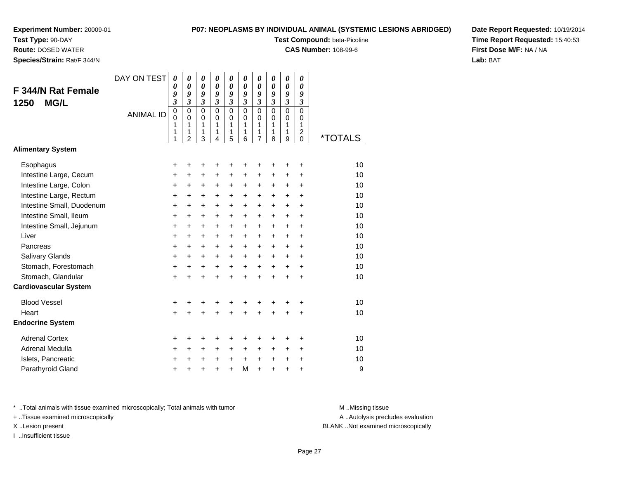**Test Type:** 90-DAY

**Route:** DOSED WATER

**Species/Strain:** Rat/F 344/N

# **P07: NEOPLASMS BY INDIVIDUAL ANIMAL (SYSTEMIC LESIONS ABRIDGED)**

**Test Compound:** beta-Picoline

**CAS Number:** 108-99-6

**Date Report Requested:** 10/19/2014**Time Report Requested:** 15:40:53**First Dose M/F:** NA / NA**Lab:** BAT

| F 344/N Rat Female<br><b>MG/L</b><br>1250 | DAY ON TEST<br><b>ANIMAL ID</b> | 0<br>0<br>9<br>$\overline{\mathbf{3}}$<br>$\mathbf 0$<br>0<br>1<br>1<br>1 | 0<br>$\boldsymbol{\theta}$<br>9<br>$\mathfrak{z}$<br>$\mathbf 0$<br>$\mathbf 0$<br>1<br>1<br>$\overline{2}$ | 0<br>$\boldsymbol{\theta}$<br>9<br>$\mathfrak{z}$<br>$\mathbf 0$<br>$\mathbf 0$<br>1<br>1<br>3 | 0<br>$\boldsymbol{\theta}$<br>9<br>$\mathfrak{z}$<br>$\mathbf 0$<br>$\mathbf 0$<br>1<br>1<br>$\overline{4}$ | 0<br>0<br>9<br>$\mathfrak{z}$<br>$\mathbf 0$<br>$\mathbf 0$<br>1<br>1<br>5 | 0<br>0<br>9<br>$\mathfrak{z}$<br>$\mathbf 0$<br>$\mathbf 0$<br>1<br>1<br>6 | $\boldsymbol{\theta}$<br>$\boldsymbol{\theta}$<br>9<br>$\mathfrak{z}$<br>$\mathbf 0$<br>$\mathbf 0$<br>1<br>1<br>$\overline{7}$ | 0<br>0<br>9<br>$\overline{\mathbf{3}}$<br>$\mathbf 0$<br>$\mathbf 0$<br>1<br>1<br>8 | 0<br>$\boldsymbol{\theta}$<br>9<br>$\overline{\mathbf{3}}$<br>$\overline{0}$<br>$\mathbf 0$<br>1<br>1<br>9 | 0<br>0<br>9<br>$\mathfrak{z}$<br>0<br>0<br>1<br>$\overline{\mathbf{c}}$<br>0 | <i><b>*TOTALS</b></i> |
|-------------------------------------------|---------------------------------|---------------------------------------------------------------------------|-------------------------------------------------------------------------------------------------------------|------------------------------------------------------------------------------------------------|-------------------------------------------------------------------------------------------------------------|----------------------------------------------------------------------------|----------------------------------------------------------------------------|---------------------------------------------------------------------------------------------------------------------------------|-------------------------------------------------------------------------------------|------------------------------------------------------------------------------------------------------------|------------------------------------------------------------------------------|-----------------------|
| <b>Alimentary System</b>                  |                                 |                                                                           |                                                                                                             |                                                                                                |                                                                                                             |                                                                            |                                                                            |                                                                                                                                 |                                                                                     |                                                                                                            |                                                                              |                       |
| Esophagus<br>Intestine Large, Cecum       |                                 | +<br>+                                                                    | +<br>+                                                                                                      | +<br>+                                                                                         | +<br>+                                                                                                      | +<br>+                                                                     | +<br>+                                                                     | +<br>+                                                                                                                          | +<br>٠                                                                              | +<br>+                                                                                                     | +<br>+                                                                       | 10<br>10              |
| Intestine Large, Colon                    |                                 | +                                                                         | +                                                                                                           | +                                                                                              | $\ddot{}$                                                                                                   | $\ddot{}$                                                                  | +                                                                          | +                                                                                                                               | +                                                                                   | +                                                                                                          | +                                                                            | 10                    |
| Intestine Large, Rectum                   |                                 | +                                                                         | +                                                                                                           | $\ddot{}$                                                                                      | $\ddot{}$                                                                                                   | $\ddot{}$                                                                  | +                                                                          | +                                                                                                                               | $\ddot{}$                                                                           | $\pm$                                                                                                      | +                                                                            | 10                    |
| Intestine Small, Duodenum                 |                                 | $\ddot{}$                                                                 | $\ddot{}$                                                                                                   | $\ddot{}$                                                                                      | $\ddot{}$                                                                                                   | $\ddot{}$                                                                  | $\ddot{}$                                                                  | $\ddot{}$                                                                                                                       | $\ddot{}$                                                                           | $\ddot{}$                                                                                                  | $\ddot{}$                                                                    | 10                    |
| Intestine Small, Ileum                    |                                 | $\ddot{}$                                                                 | $\ddot{}$                                                                                                   | $\ddot{}$                                                                                      | $\ddot{}$                                                                                                   | $\ddot{}$                                                                  | $\ddot{}$                                                                  | $\ddot{}$                                                                                                                       | $\ddot{}$                                                                           | $\ddot{}$                                                                                                  | $\ddot{}$                                                                    | 10                    |
| Intestine Small, Jejunum                  |                                 | +                                                                         | $\ddot{}$                                                                                                   | $\ddot{}$                                                                                      | $\ddot{}$                                                                                                   | $\ddot{}$                                                                  | $\ddot{}$                                                                  | $\ddot{}$                                                                                                                       | $\ddot{}$                                                                           | $\ddot{}$                                                                                                  | $\ddot{}$                                                                    | 10                    |
| Liver                                     |                                 | +                                                                         | $\ddot{}$                                                                                                   | $\ddot{}$                                                                                      | $\ddot{}$                                                                                                   | $\ddot{}$                                                                  | $\ddot{}$                                                                  | $\ddot{}$                                                                                                                       | $\ddot{}$                                                                           | $\ddot{}$                                                                                                  | $\ddot{}$                                                                    | 10                    |
| Pancreas                                  |                                 | $\ddot{}$                                                                 | $\ddot{}$                                                                                                   | $\ddot{}$                                                                                      | $+$                                                                                                         | $\ddot{}$                                                                  | $\ddot{}$                                                                  | $\ddot{}$                                                                                                                       | $\ddot{}$                                                                           | $\ddot{}$                                                                                                  | $\ddot{}$                                                                    | 10                    |
| Salivary Glands                           |                                 | $\ddot{}$                                                                 | $\ddot{}$                                                                                                   | $\ddot{}$                                                                                      | +                                                                                                           | +                                                                          | +                                                                          | $\ddot{}$                                                                                                                       | $\ddot{}$                                                                           | $\ddot{}$                                                                                                  | $\ddot{}$                                                                    | 10                    |
| Stomach, Forestomach                      |                                 | $\ddot{}$                                                                 | $\ddot{}$                                                                                                   | $\ddot{}$                                                                                      | $\ddot{}$                                                                                                   | $\ddot{}$                                                                  | $\ddot{}$                                                                  | $\ddot{}$                                                                                                                       | $\ddot{}$                                                                           | $\ddot{}$                                                                                                  | $\ddot{}$                                                                    | 10                    |
| Stomach, Glandular                        |                                 | $\ddot{}$                                                                 | $\ddot{}$                                                                                                   | $\ddot{}$                                                                                      | $\ddot{}$                                                                                                   | $\ddot{}$                                                                  | $\ddot{}$                                                                  | $\ddot{}$                                                                                                                       | $\ddot{}$                                                                           | $\ddot{}$                                                                                                  | $\ddot{}$                                                                    | 10                    |
| <b>Cardiovascular System</b>              |                                 |                                                                           |                                                                                                             |                                                                                                |                                                                                                             |                                                                            |                                                                            |                                                                                                                                 |                                                                                     |                                                                                                            |                                                                              |                       |
| <b>Blood Vessel</b>                       |                                 | +                                                                         |                                                                                                             |                                                                                                |                                                                                                             | +                                                                          | +                                                                          | +                                                                                                                               |                                                                                     | +                                                                                                          | +                                                                            | 10                    |
| Heart                                     |                                 | $\ddot{}$                                                                 |                                                                                                             |                                                                                                |                                                                                                             | Ŧ.                                                                         | Ŧ.                                                                         | $\ddot{}$                                                                                                                       |                                                                                     | +                                                                                                          | +                                                                            | 10                    |
| <b>Endocrine System</b>                   |                                 |                                                                           |                                                                                                             |                                                                                                |                                                                                                             |                                                                            |                                                                            |                                                                                                                                 |                                                                                     |                                                                                                            |                                                                              |                       |
| <b>Adrenal Cortex</b>                     |                                 | +                                                                         | +                                                                                                           | +                                                                                              | +                                                                                                           | +                                                                          | +                                                                          | ٠                                                                                                                               | ٠                                                                                   | ٠                                                                                                          | +                                                                            | 10                    |
| Adrenal Medulla                           |                                 | $\ddot{}$                                                                 | $\ddot{}$                                                                                                   | $\ddot{}$                                                                                      | $\ddot{}$                                                                                                   | $\ddot{}$                                                                  | $\ddot{}$                                                                  | $\ddot{}$                                                                                                                       | $\ddot{}$                                                                           | $\ddot{}$                                                                                                  | $\ddot{}$                                                                    | 10                    |
| Islets, Pancreatic                        |                                 | +                                                                         | +                                                                                                           | $\ddot{}$                                                                                      | $\ddot{}$                                                                                                   | $\ddot{}$                                                                  | $\ddot{}$                                                                  | $\ddot{}$                                                                                                                       | $\ddot{}$                                                                           | +                                                                                                          | +                                                                            | 10                    |
| Parathyroid Gland                         |                                 | +                                                                         |                                                                                                             |                                                                                                | $\ddot{}$                                                                                                   | $\ddot{}$                                                                  | M                                                                          | $\ddot{}$                                                                                                                       | $\ddot{}$                                                                           | $\ddot{}$                                                                                                  | $\ddot{}$                                                                    | 9                     |

\* ..Total animals with tissue examined microscopically; Total animals with tumor **M** . Missing tissue M ..Missing tissue

+ ..Tissue examined microscopically

I ..Insufficient tissue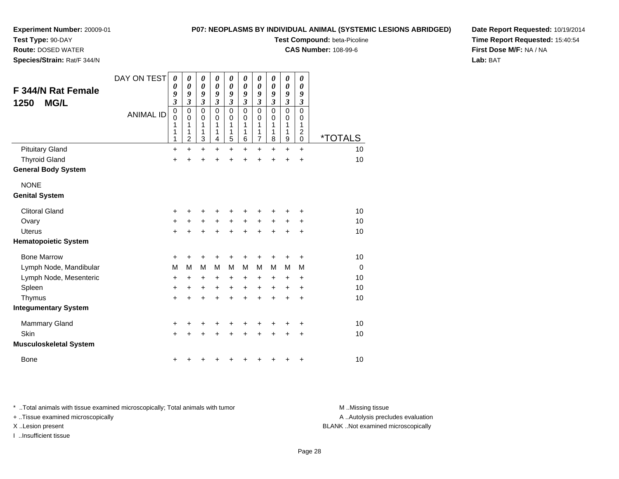# **Test Type:** 90-DAY

**Route:** DOSED WATER

**Species/Strain:** Rat/F 344/N

# **P07: NEOPLASMS BY INDIVIDUAL ANIMAL (SYSTEMIC LESIONS ABRIDGED)**

**Test Compound:** beta-Picoline

**CAS Number:** 108-99-6

**Date Report Requested:** 10/19/2014**Time Report Requested:** 15:40:54**First Dose M/F:** NA / NA**Lab:** BAT

| <b>F 344/N Rat Female</b><br><b>MG/L</b><br>1250 | DAY ON TEST<br><b>ANIMAL ID</b> | 0<br>0<br>9<br>$\overline{\mathbf{3}}$<br>$\pmb{0}$<br>0<br>1<br>1<br>1 | 0<br>$\boldsymbol{\theta}$<br>9<br>$\mathfrak{z}$<br>$\mathbf 0$<br>$\mathbf 0$<br>1<br>1<br>$\overline{c}$ | 0<br>0<br>9<br>3<br>$\mathbf 0$<br>0<br>1<br>1<br>3 | 0<br>$\boldsymbol{\theta}$<br>9<br>$\mathfrak{z}$<br>$\Omega$<br>0<br>1<br>1<br>4 | 0<br>0<br>9<br>$\boldsymbol{\beta}$<br>$\mathbf 0$<br>0<br>1<br>1<br>5 | 0<br>0<br>9<br>3<br>$\Omega$<br>0<br>1<br>1<br>6 | 0<br>$\boldsymbol{\theta}$<br>9<br>3<br>$\mathbf 0$<br>0<br>1<br>1<br>$\overline{7}$ | 0<br>0<br>9<br>3<br>$\mathbf 0$<br>0<br>1<br>1<br>8 | $\boldsymbol{\theta}$<br>0<br>9<br>$\overline{\mathbf{3}}$<br>$\mathbf 0$<br>0<br>1<br>1<br>9 | 0<br>0<br>9<br>3<br>0<br>0<br>1<br>$\overline{\mathbf{c}}$<br>0 | <i><b>*TOTALS</b></i> |
|--------------------------------------------------|---------------------------------|-------------------------------------------------------------------------|-------------------------------------------------------------------------------------------------------------|-----------------------------------------------------|-----------------------------------------------------------------------------------|------------------------------------------------------------------------|--------------------------------------------------|--------------------------------------------------------------------------------------|-----------------------------------------------------|-----------------------------------------------------------------------------------------------|-----------------------------------------------------------------|-----------------------|
| <b>Pituitary Gland</b>                           |                                 | $\ddot{}$                                                               | +                                                                                                           | +                                                   | +                                                                                 | +                                                                      | +                                                | +                                                                                    | $\pm$                                               | +                                                                                             | +                                                               | 10                    |
| <b>Thyroid Gland</b>                             |                                 | +                                                                       |                                                                                                             | $\ddot{}$                                           | Ŧ.                                                                                | +                                                                      | $\ddot{}$                                        | $\ddot{}$                                                                            | $\ddot{}$                                           | $\ddot{}$                                                                                     | $\ddot{}$                                                       | 10                    |
| <b>General Body System</b>                       |                                 |                                                                         |                                                                                                             |                                                     |                                                                                   |                                                                        |                                                  |                                                                                      |                                                     |                                                                                               |                                                                 |                       |
| <b>NONE</b>                                      |                                 |                                                                         |                                                                                                             |                                                     |                                                                                   |                                                                        |                                                  |                                                                                      |                                                     |                                                                                               |                                                                 |                       |
| <b>Genital System</b>                            |                                 |                                                                         |                                                                                                             |                                                     |                                                                                   |                                                                        |                                                  |                                                                                      |                                                     |                                                                                               |                                                                 |                       |
| <b>Clitoral Gland</b>                            |                                 | +                                                                       | +                                                                                                           | +                                                   | +                                                                                 | +                                                                      | +                                                | ٠                                                                                    | +                                                   | +                                                                                             | +                                                               | 10                    |
| Ovary                                            |                                 | $\ddot{}$                                                               | +                                                                                                           | +                                                   | +                                                                                 | $\ddot{}$                                                              | $\ddot{}$                                        | $\ddot{}$                                                                            | $\ddot{}$                                           | +                                                                                             | +                                                               | 10                    |
| <b>Uterus</b>                                    |                                 | $\ddot{}$                                                               | $\ddot{}$                                                                                                   | $\ddot{}$                                           | $\ddot{}$                                                                         | $\ddot{}$                                                              | $\ddot{}$                                        | $\ddot{}$                                                                            | $\ddot{}$                                           | $\ddot{}$                                                                                     | +                                                               | 10                    |
| <b>Hematopoietic System</b>                      |                                 |                                                                         |                                                                                                             |                                                     |                                                                                   |                                                                        |                                                  |                                                                                      |                                                     |                                                                                               |                                                                 |                       |
| <b>Bone Marrow</b>                               |                                 | $\ddot{}$                                                               | ٠                                                                                                           | ٠                                                   | +                                                                                 | +                                                                      | +                                                | +                                                                                    |                                                     | +                                                                                             | +                                                               | 10                    |
| Lymph Node, Mandibular                           |                                 | M                                                                       | M                                                                                                           | M                                                   | M                                                                                 | M                                                                      | М                                                | M                                                                                    | м                                                   | M                                                                                             | М                                                               | $\Omega$              |
| Lymph Node, Mesenteric                           |                                 | $\ddot{}$                                                               | +                                                                                                           | +                                                   | +                                                                                 | +                                                                      | +                                                | +                                                                                    | $\ddot{}$                                           | +                                                                                             | ٠                                                               | 10                    |
| Spleen                                           |                                 | +                                                                       | $\ddot{}$                                                                                                   | +                                                   | $\ddot{}$                                                                         | $\ddot{}$                                                              | $\ddot{}$                                        | $\ddot{}$                                                                            | $\ddot{}$                                           | $\ddot{}$                                                                                     | $\ddot{}$                                                       | 10                    |
| Thymus                                           |                                 | $\ddot{}$                                                               | $\ddot{}$                                                                                                   | $\ddot{}$                                           | $\ddot{}$                                                                         | $\ddot{}$                                                              | $\ddot{}$                                        | $\ddot{}$                                                                            | $\ddot{}$                                           | $\ddot{}$                                                                                     | $\ddot{}$                                                       | 10                    |
| <b>Integumentary System</b>                      |                                 |                                                                         |                                                                                                             |                                                     |                                                                                   |                                                                        |                                                  |                                                                                      |                                                     |                                                                                               |                                                                 |                       |
| <b>Mammary Gland</b>                             |                                 | $\ddot{}$                                                               | +                                                                                                           | +                                                   | +                                                                                 | +                                                                      | +                                                | +                                                                                    |                                                     | +                                                                                             | +                                                               | 10                    |
| Skin                                             |                                 | $\ddot{}$                                                               | ÷                                                                                                           | $\ddot{}$                                           | $\ddot{}$                                                                         | $\ddot{}$                                                              | $\ddot{}$                                        | $\ddot{}$                                                                            | $\ddot{}$                                           | +                                                                                             | +                                                               | 10                    |
| <b>Musculoskeletal System</b>                    |                                 |                                                                         |                                                                                                             |                                                     |                                                                                   |                                                                        |                                                  |                                                                                      |                                                     |                                                                                               |                                                                 |                       |
| <b>Bone</b>                                      |                                 | +                                                                       |                                                                                                             | ٠                                                   | ٠                                                                                 | +                                                                      | +                                                | +                                                                                    | +                                                   | +                                                                                             | +                                                               | 10                    |

\* ..Total animals with tissue examined microscopically; Total animals with tumor **M** . Missing tissue M ..Missing tissue

+ ..Tissue examined microscopically

I ..Insufficient tissue